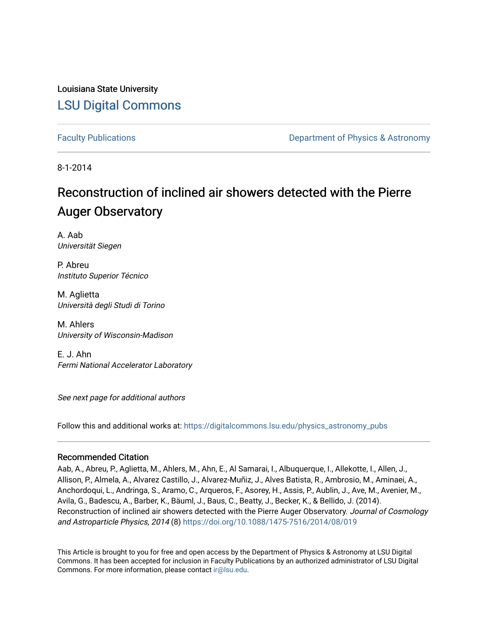Louisiana State University [LSU Digital Commons](https://digitalcommons.lsu.edu/)

[Faculty Publications](https://digitalcommons.lsu.edu/physics_astronomy_pubs) **Exercise 2 and Table 2 and Table 2 and Table 2 and Table 2 and Table 2 and Table 2 and Table 2 and Table 2 and Table 2 and Table 2 and Table 2 and Table 2 and Table 2 and Table 2 and Table 2 and Table** 

8-1-2014

## Reconstruction of inclined air showers detected with the Pierre **Auger Observatory**

A. Aab Universität Siegen

P. Abreu Instituto Superior Técnico

M. Aglietta Università degli Studi di Torino

M. Ahlers University of Wisconsin-Madison

E. J. Ahn Fermi National Accelerator Laboratory

See next page for additional authors

Follow this and additional works at: [https://digitalcommons.lsu.edu/physics\\_astronomy\\_pubs](https://digitalcommons.lsu.edu/physics_astronomy_pubs?utm_source=digitalcommons.lsu.edu%2Fphysics_astronomy_pubs%2F3244&utm_medium=PDF&utm_campaign=PDFCoverPages) 

## Recommended Citation

Aab, A., Abreu, P., Aglietta, M., Ahlers, M., Ahn, E., Al Samarai, I., Albuquerque, I., Allekotte, I., Allen, J., Allison, P., Almela, A., Alvarez Castillo, J., Alvarez-Muñiz, J., Alves Batista, R., Ambrosio, M., Aminaei, A., Anchordoqui, L., Andringa, S., Aramo, C., Arqueros, F., Asorey, H., Assis, P., Aublin, J., Ave, M., Avenier, M., Avila, G., Badescu, A., Barber, K., Bäuml, J., Baus, C., Beatty, J., Becker, K., & Bellido, J. (2014). Reconstruction of inclined air showers detected with the Pierre Auger Observatory. Journal of Cosmology and Astroparticle Physics, 2014 (8) <https://doi.org/10.1088/1475-7516/2014/08/019>

This Article is brought to you for free and open access by the Department of Physics & Astronomy at LSU Digital Commons. It has been accepted for inclusion in Faculty Publications by an authorized administrator of LSU Digital Commons. For more information, please contact [ir@lsu.edu](mailto:ir@lsu.edu).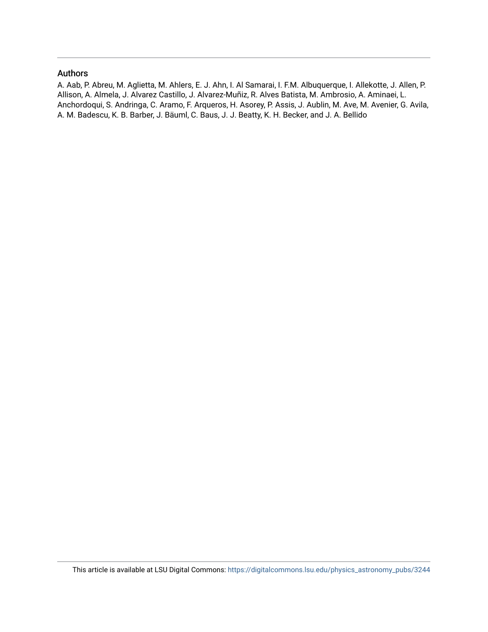#### Authors

A. Aab, P. Abreu, M. Aglietta, M. Ahlers, E. J. Ahn, I. Al Samarai, I. F.M. Albuquerque, I. Allekotte, J. Allen, P. Allison, A. Almela, J. Alvarez Castillo, J. Alvarez-Muñiz, R. Alves Batista, M. Ambrosio, A. Aminaei, L. Anchordoqui, S. Andringa, C. Aramo, F. Arqueros, H. Asorey, P. Assis, J. Aublin, M. Ave, M. Avenier, G. Avila, A. M. Badescu, K. B. Barber, J. Bäuml, C. Baus, J. J. Beatty, K. H. Becker, and J. A. Bellido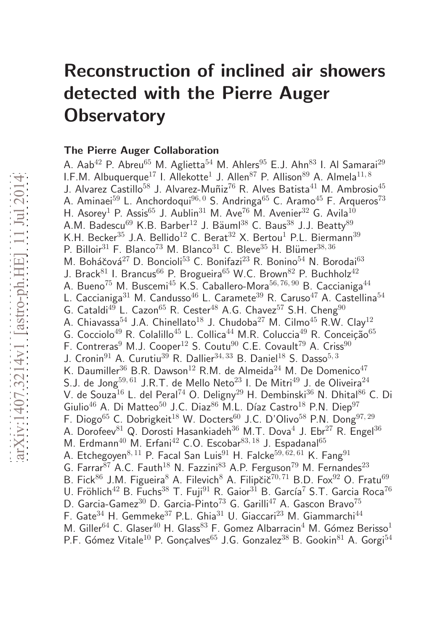# Reconstruction of inclined air showers detected with the Pierre Auger **Observatory**

## The Pierre Auger Collaboration

A. Aab<sup>42</sup> P. Abreu<sup>65</sup> M. Aglietta<sup>54</sup> M. Ahlers<sup>95</sup> E.J. Ahn<sup>83</sup> I. Al Samarai<sup>29</sup> I.F.M. Albuquerque $^{17}$  I. Allekotte $^1$  J. Allen $^{87}$  P. Allison $^{89}$  A. Almela $^{11,\,8}$ J. Alvarez Castillo<sup>58</sup> J. Alvarez-Muñiz<sup>76</sup> R. Alves Batista<sup>41</sup> M. Ambrosio<sup>45</sup> A. Aminaei<sup>59</sup> L. Anchordoqui<sup>96, 0</sup> S. Andringa<sup>65</sup> C. Aramo<sup>45</sup> F. Arqueros<sup>73</sup> H. Asorey<sup>1</sup> P. Assis<sup>65</sup> J. Aublin<sup>31</sup> M. Ave<sup>76</sup> M. Avenier<sup>32</sup> G. Avila<sup>10</sup> A.M. Badescu<sup>69</sup> K.B. Barber<sup>12</sup> J. Bäuml<sup>38</sup> C. Baus<sup>38</sup> J.J. Beatty<sup>89</sup> K.H. Becker<sup>35</sup> J.A. Bellido<sup>12</sup> C. Berat<sup>32</sup> X. Bertou<sup>1</sup> P.L. Biermann<sup>39</sup> P. Billoir<sup>31</sup> F. Blanco<sup>73</sup> M. Blanco<sup>31</sup> C. Bleve<sup>35</sup> H. Blümer<sup>38, 36</sup> M. Boháčová $^{27}$  D. Boncioli<sup>53</sup> C. Bonifazi<sup>23</sup> R. Bonino<sup>54</sup> N. Borodai<sup>63</sup> J. Brack<sup>81</sup> I. Brancus<sup>66</sup> P. Brogueira<sup>65</sup> W.C. Brown<sup>82</sup> P. Buchholz<sup>42</sup> A. Bueno<sup>75</sup> M. Buscemi<sup>45</sup> K.S. Caballero-Mora<sup>56, 76, 90</sup> B. Caccianiga<sup>44</sup> L. Caccianiga<sup>31</sup> M. Candusso<sup>46</sup> L. Caramete<sup>39</sup> R. Caruso<sup>47</sup> A. Castellina<sup>54</sup> G. Cataldi<sup>49</sup> L. Cazon<sup>65</sup> R. Cester<sup>48</sup> A.G. Chavez<sup>57</sup> S.H. Cheng<sup>90</sup> A. Chiavassa<sup>54</sup> J.A. Chinellato<sup>18</sup> J. Chudoba<sup>27</sup> M. Cilmo<sup>45</sup> R.W. Clay<sup>12</sup> G. Cocciolo<sup>49</sup> R. Colalillo<sup>45</sup> L. Collica<sup>44</sup> M.R. Coluccia<sup>49</sup> R. Conceição<sup>65</sup> F. Contreras<sup>9</sup> M.J. Cooper<sup>12</sup> S. Coutu<sup>90</sup> C.E. Covault<sup>79</sup> A. Criss<sup>90</sup> J. Cronin<sup>91</sup> A. Curutiu<sup>39</sup> R. Dallier<sup>34, 33</sup> B. Daniel<sup>18</sup> S. Dasso<sup>5, 3</sup> K. Daumiller<sup>36</sup> B.R. Dawson<sup>12</sup> R.M. de Almeida<sup>24</sup> M. De Domenico<sup>47</sup> S.J. de Jong<sup>59, 61</sup> J.R.T. de Mello Neto<sup>23</sup> I. De Mitri<sup>49</sup> J. de Oliveira<sup>24</sup> V. de Souza<sup>16</sup> L. del Peral<sup>74</sup> O. Deligny<sup>29</sup> H. Dembinski<sup>36</sup> N. Dhital<sup>86</sup> C. Di Giulio<sup>46</sup> A. Di Matteo<sup>50</sup> J.C. Diaz<sup>86</sup> M.L. Díaz Castro<sup>18</sup> P.N. Diep<sup>97</sup> F. Diogo<sup>65</sup> C. Dobrigkeit<sup>18</sup> W. Docters<sup>60</sup> J.C. D'Olivo<sup>58</sup> P.N. Dong<sup>97,29</sup> A. Dorofeev $^{81}$  Q. Dorosti Hasankiadeh $^{36}$  M.T. Dova $^4$  J. Ebr $^{27}$  R. Engel $^{36}$ M. Erdmann<sup>40</sup> M. Erfani<sup>42</sup> C.O. Escobar<sup>83, 18</sup> J. Espadanal<sup>65</sup> A. Etchegoyen<sup>8, 11</sup> P. Facal San Luis<sup>91</sup> H. Falcke<sup>59, 62, 61</sup> K. Fang<sup>91</sup> G. Farrar<sup>87</sup> A.C. Fauth<sup>18</sup> N. Fazzini<sup>83</sup> A.P. Ferguson<sup>79</sup> M. Fernandes<sup>23</sup> B. Fick<sup>86</sup> J.M. Figueira<sup>8</sup> A. Filevich<sup>8</sup> A. Filipčič<sup>70, 71</sup> B.D. Fox<sup>92</sup> O. Fratu<sup>69</sup> U. Fröhlich<sup>42</sup> B. Fuchs<sup>38</sup> T. Fuji<sup>91</sup> R. Gaior<sup>31</sup> B. García<sup>7</sup> S.T. Garcia Roca<sup>76</sup> D. Garcia-Gamez $^{30}$  D. Garcia-Pinto<sup>73</sup> G. Garilli<sup>47</sup> A. Gascon Bravo<sup>75</sup> F. Gate<sup>34</sup> H. Gemmeke<sup>37</sup> P.L. Ghia<sup>31</sup> U. Giaccari<sup>23</sup> M. Giammarchi<sup>44</sup> M. Giller<sup>64</sup> C. Glaser<sup>40</sup> H. Glass<sup>83</sup> F. Gomez Albarracin<sup>4</sup> M. Gómez Berisso<sup>1</sup> P.F. Gómez Vitale<sup>10</sup> P. Gonçalves<sup>65</sup> J.G. Gonzalez<sup>38</sup> B. Gookin<sup>81</sup> A. Gorgi<sup>54</sup>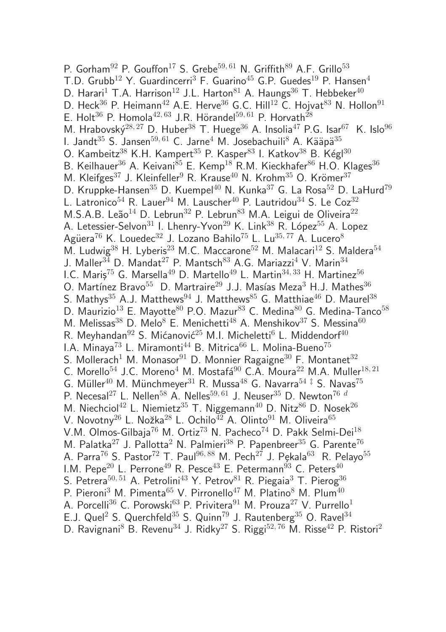P. Gorham<sup>92</sup> P. Gouffon<sup>17</sup> S. Grebe<sup>59, 61</sup> N. Griffith<sup>89</sup> A.F. Grillo<sup>53</sup> T.D. Grubb<sup>12</sup> Y. Guardincerri<sup>3</sup> F. Guarino<sup>45</sup> G.P. Guedes<sup>19</sup> P. Hansen<sup>4</sup> D. Harari<sup>1</sup> T.A. Harrison<sup>12</sup> J.L. Harton<sup>81</sup> A. Haungs<sup>36</sup> T. Hebbeker<sup>40</sup> D. Heck<sup>36</sup> P. Heimann<sup>42</sup> A.E. Herve<sup>36</sup> G.C. Hill<sup>12</sup> C. Hojvat<sup>83</sup> N. Hollon<sup>91</sup> E. Holt<sup>36</sup> P. Homola<sup>42, 63</sup> J.R. Hörandel<sup>59, 61</sup> P. Horvath<sup>28</sup> M. Hrabovský<sup>28, 27</sup> D. Huber<sup>38</sup> T. Huege<sup>36</sup> A. Insolia<sup>47</sup> P.G. Isar<sup>67</sup> K. Islo<sup>96</sup> I. Jandt<sup>35</sup> S. Jansen<sup>59, 61</sup> C. Jarne<sup>4</sup> M. Josebachuili<sup>8</sup> A. Kääpä<sup>35</sup> O. Kambeitz<sup>38</sup> K.H. Kampert<sup>35</sup> P. Kasper<sup>83</sup> I. Katkov<sup>38</sup> B. Kégl<sup>30</sup> B. Keilhauer<sup>36</sup> A. Keivani<sup>85</sup> E. Kemp<sup>18</sup> R.M. Kieckhafer<sup>86</sup> H.O. Klages<sup>36</sup> M. Kleifges<sup>37</sup> J. Kleinfeller<sup>9</sup> R. Krause<sup>40</sup> N. Krohm<sup>35</sup> O. Krömer<sup>37</sup> D. Kruppke-Hansen<sup>35</sup> D. Kuempel<sup>40</sup> N. Kunka<sup>37</sup> G. La Rosa<sup>52</sup> D. LaHurd<sup>79</sup> L. Latronico<sup>54</sup> R. Lauer<sup>94</sup> M. Lauscher<sup>40</sup> P. Lautridou<sup>34</sup> S. Le Coz<sup>32</sup> M.S.A.B. Leão<sup>14</sup> D. Lebrun<sup>32</sup> P. Lebrun<sup>83</sup> M.A. Leigui de Oliveira<sup>22</sup> A. Letessier-Selvon<sup>31</sup> I. Lhenry-Yvon<sup>29</sup> K. Link<sup>38</sup> R. López<sup>55</sup> A. Lopez Agüera<sup>76</sup> K. Louedec<sup>32</sup> J. Lozano Bahilo<sup>75</sup> L. Lu<sup>35,77</sup> A. Lucero<sup>8</sup> M. Ludwig<sup>38</sup> H. Lyberis<sup>23</sup> M.C. Maccarone<sup>52</sup> M. Malacari<sup>12</sup> S. Maldera<sup>54</sup> J. Maller<sup>34</sup> D. Mandat<sup>27</sup> P. Mantsch<sup>83</sup> A.G. Mariazzi<sup>4</sup> V. Marin<sup>34</sup> I.C. Maris<sup>75</sup> G. Marsella<sup>49</sup> D. Martello<sup>49</sup> L. Martin<sup>34, 33</sup> H. Martinez<sup>56</sup> O. Martínez Bravo<sup>55</sup> D. Martraire<sup>29</sup> J.J. Masías Meza<sup>3</sup> H.J. Mathes<sup>36</sup> S. Mathys<sup>35</sup> A.J. Matthews<sup>94</sup> J. Matthews<sup>85</sup> G. Matthiae<sup>46</sup> D. Maurel<sup>38</sup> D. Maurizio<sup>13</sup> E. Mayotte<sup>80</sup> P.O. Mazur<sup>83</sup> C. Medina<sup>80</sup> G. Medina-Tanco<sup>58</sup> M. Melissas<sup>38</sup> D. Melo<sup>8</sup> E. Menichetti<sup>48</sup> A. Menshikov<sup>37</sup> S. Messina<sup>60</sup> R. Meyhandan<sup>92</sup> S. Mićanović<sup>25</sup> M.I. Micheletti<sup>6</sup> L. Middendorf<sup>40</sup> I.A. Minaya<sup>73</sup> L. Miramonti<sup>44</sup> B. Mitrica<sup>66</sup> L. Molina-Bueno<sup>75</sup> S. Mollerach<sup>1</sup> M. Monasor<sup>91</sup> D. Monnier Ragaigne<sup>30</sup> F. Montanet<sup>32</sup> C. Morello<sup>54</sup> J.C. Moreno<sup>4</sup> M. Mostafá<sup>90</sup> C.A. Moura<sup>22</sup> M.A. Muller<sup>18, 21</sup> G. Müller<sup>40</sup> M. Münchmeyer<sup>31</sup> R. Mussa<sup>48</sup> G. Navarra<sup>54‡</sup> S. Navas<sup>75</sup> P. Necesal<sup>27</sup> L. Nellen<sup>58</sup> A. Nelles<sup>59, 61</sup> J. Neuser<sup>35</sup> D. Newton<sup>76 d</sup> M. Niechciol<sup>42</sup> L. Niemietz<sup>35</sup> T. Niggemann<sup>40</sup> D. Nitz<sup>86</sup> D. Nosek<sup>26</sup> V. Novotny<sup>26</sup> L. Nožka<sup>28</sup> L. Ochilo<sup>42</sup> A. Olinto<sup>91</sup> M. Oliveira<sup>65</sup> V.M. Olmos-Gilbaja<sup>76</sup> M. Ortiz<sup>73</sup> N. Pacheco<sup>74</sup> D. Pakk Selmi-Dei<sup>18</sup> M. Palatka<sup>27</sup> J. Pallotta<sup>2</sup> N. Palmieri<sup>38</sup> P. Papenbreer<sup>35</sup> G. Parente<sup>76</sup> A. Parra<sup>76</sup> S. Pastor<sup>72</sup> T. Paul<sup>96, 88</sup> M. Pech<sup>27</sup> J. Pekala<sup>63</sup> R. Pelayo<sup>55</sup> I.M. Pepe<sup>20</sup> L. Perrone<sup>49</sup> R. Pesce<sup>43</sup> E. Petermann<sup>93</sup> C. Peters<sup>40</sup> S. Petrera<sup>50, 51</sup> A. Petrolini<sup>43</sup> Y. Petrov<sup>81</sup> R. Piegaia<sup>3</sup> T. Pierog<sup>36</sup> P. Pieroni<sup>3</sup> M. Pimenta<sup>65</sup> V. Pirronello<sup>47</sup> M. Platino<sup>8</sup> M. Plum<sup>40</sup> A. Porcelli<sup>36</sup> C. Porowski<sup>63</sup> P. Privitera<sup>91</sup> M. Prouza<sup>27</sup> V. Purrello<sup>1</sup> E.J. Quel<sup>2</sup> S. Querchfeld<sup>35</sup> S. Quinn<sup>79</sup> J. Rautenberg<sup>35</sup> O. Ravel<sup>34</sup> D. Ravignani<sup>8</sup> B. Revenu<sup>34</sup> J. Ridky<sup>27</sup> S. Riggi<sup>52, 76</sup> M. Risse<sup>42</sup> P. Ristori<sup>2</sup>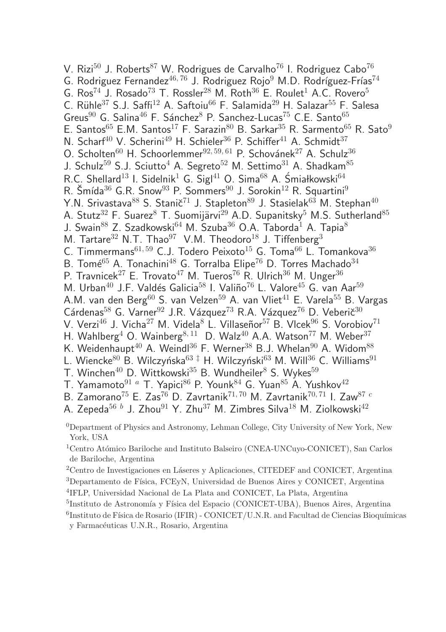V. Rizi<sup>50</sup> J. Roberts<sup>87</sup> W. Rodrigues de Carvalho<sup>76</sup> I. Rodriguez Cabo<sup>76</sup> G. Rodriguez Fernandez<sup>46, 76</sup> J. Rodriguez Rojo<sup>9</sup> M.D. Rodríguez-Frías<sup>74</sup> G.  $\text{Ros}^{74}$  J. Rosado<sup>73</sup> T. Rossler<sup>28</sup> M. Roth<sup>36</sup> E. Roulet<sup>1</sup> A.C. Rovero<sup>5</sup> C. Rühle<sup>37</sup> S.J. Saffi<sup>12</sup> A. Saftoiu<sup>66</sup> F. Salamida<sup>29</sup> H. Salazar<sup>55</sup> F. Salesa Greus<sup>90</sup> G. Salina<sup>46</sup> F. Sánchez<sup>8</sup> P. Sanchez-Lucas<sup>75</sup> C.E. Santo<sup>65</sup> E. Santos<sup>65</sup> E.M. Santos<sup>17</sup> F. Sarazin<sup>80</sup> B. Sarkar<sup>35</sup> R. Sarmento<sup>65</sup> R. Sato<sup>9</sup> N. Scharf<sup>40</sup> V. Scherini<sup>49</sup> H. Schieler<sup>36</sup> P. Schiffer<sup>41</sup> A. Schmidt<sup>37</sup> O. Scholten $^{60}$  H. Schoorlemmer $^{92, 59, 61}$  P. Schovánek $^{27}$  A. Schulz $^{36}$ J. Schulz<sup>59</sup> S.J. Sciutto<sup>4</sup> A. Segreto<sup>52</sup> M. Settimo<sup>31</sup> A. Shadkam<sup>85</sup> R.C. Shellard<sup>13</sup> I. Sidelnik<sup>1</sup> G. Sigl<sup>41</sup> O. Sima<sup>68</sup> A. Śmiałkowski<sup>64</sup> R. Šmída $36$  G.R. Snow $93$  P. Sommers $90$  J. Sorokin<sup>12</sup> R. Squartini<sup>9</sup> Y.N. Srivastava $^{88}$  S. Stanič<sup>71</sup> J. Stapleton $^{89}$  J. Stasielak $^{63}$  M. Stephan<sup>40</sup> A. Stutz<sup>32</sup> F. Suarez<sup>8</sup> T. Suomijärvi<sup>29</sup> A.D. Supanitsky<sup>5</sup> M.S. Sutherland<sup>85</sup> J. Swain<sup>88</sup> Z. Szadkowski<sup>64</sup> M. Szuba<sup>36</sup> O.A. Taborda<sup>1</sup> A. Tapia<sup>8</sup> M. Tartare<sup>32</sup> N.T. Thao<sup>97</sup> V.M. Theodoro<sup>18</sup> J. Tiffenberg<sup>3</sup> C. Timmermans $^{61, 59}$  C.J. Todero Peixoto<sup>15</sup> G. Toma<sup>66</sup> L. Tomankova<sup>36</sup> B. Tomé<sup>65</sup> A. Tonachini<sup>48</sup> G. Torralba Elipe<sup>76</sup> D. Torres Machado<sup>34</sup> P. Travnicek<sup>27</sup> E. Trovato<sup>47</sup> M. Tueros<sup>76</sup> R. Ulrich<sup>36</sup> M. Unger<sup>36</sup> M. Urban<sup>40</sup> J.F. Valdés Galicia<sup>58</sup> I. Valiño<sup>76</sup> L. Valore<sup>45</sup> G. van Aar<sup>59</sup> A.M. van den Berg<sup>60</sup> S. van Velzen<sup>59</sup> A. van Vliet<sup>41</sup> E. Varela<sup>55</sup> B. Vargas Cárdenas<sup>58</sup> G. Varner<sup>92</sup> J.R. Vázquez<sup>73</sup> R.A. Vázquez<sup>76</sup> D. Veberič<sup>30</sup> V. Verzi<sup>46</sup> J. Vicha<sup>27</sup> M. Videla<sup>8</sup> L. Villaseñor<sup>57</sup> B. Vlcek<sup>96</sup> S. Vorobiov<sup>71</sup> H. Wahlberg<sup>4</sup> O. Wainberg<sup>8, 11</sup> D. Walz<sup>40</sup> A.A. Watson<sup>77</sup> M. Weber<sup>37</sup> K. Weidenhaupt<sup>40</sup> A. Weindl<sup>36</sup> F. Werner<sup>38</sup> B.J. Whelan<sup>90</sup> A. Widom<sup>88</sup> L. Wiencke<sup>80</sup> B. Wilczyńska<sup>63‡</sup> H. Wilczyński<sup>63</sup> M. Will<sup>36</sup> C. Williams<sup>91</sup> T. Winchen<sup>40</sup> D. Wittkowski<sup>35</sup> B. Wundheiler<sup>8</sup> S. Wykes<sup>59</sup> T. Yamamoto $91 a$  T. Yapici<sup>86</sup> P. Younk<sup>84</sup> G. Yuan<sup>85</sup> A. Yushkov<sup>42</sup> B. Zamorano<sup>75</sup> E. Zas<sup>76</sup> D. Zavrtanik<sup>71, 70</sup> M. Zavrtanik<sup>70, 71</sup> I. Zaw<sup>87 c</sup> A. Zepeda $^{56\,\,b}$  J. Zhou $^{91}$  Y. Zhu $^{37}$  M. Zimbres Silva $^{18}$  M. Ziolkowski $^{42}$ <sup>0</sup>Department of Physics and Astronomy, Lehman College, City University of New York, New

York, USA

<sup>1</sup>Centro Atómico Bariloche and Instituto Balseiro (CNEA-UNCuyo-CONICET), San Carlos de Bariloche, Argentina

- <sup>2</sup>Centro de Investigaciones en Láseres y Aplicaciones, CITEDEF and CONICET, Argentina <sup>3</sup>Departamento de Física, FCEyN, Universidad de Buenos Aires y CONICET, Argentina
- 4 IFLP, Universidad Nacional de La Plata and CONICET, La Plata, Argentina
- <sup>5</sup>Instituto de Astronomía y Física del Espacio (CONICET-UBA), Buenos Aires, Argentina
- ${}^{6}$ Instituto de Física de Rosario (IFIR) CONICET/U.N.R. and Facultad de Ciencias Bioquímicas y Farmacéuticas U.N.R., Rosario, Argentina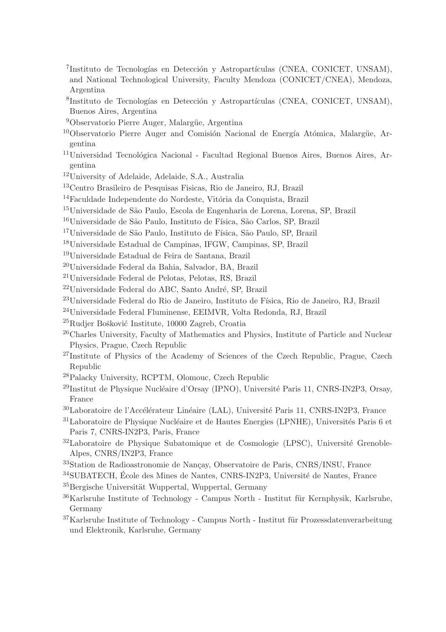- <sup>7</sup>Instituto de Tecnologías en Detección y Astropartículas (CNEA, CONICET, UNSAM), and National Technological University, Faculty Mendoza (CONICET/CNEA), Mendoza, Argentina
- <sup>8</sup>Instituto de Tecnologías en Detección y Astropartículas (CNEA, CONICET, UNSAM), Buenos Aires, Argentina
- <sup>9</sup>Observatorio Pierre Auger, Malargüe, Argentina
- $10$ Observatorio Pierre Auger and Comisión Nacional de Energía Atómica, Malargüe, Argentina
- $11$ Universidad Tecnológica Nacional Facultad Regional Buenos Aires, Buenos Aires, Argentina
- <sup>12</sup>University of Adelaide, Adelaide, S.A., Australia
- <sup>13</sup>Centro Brasileiro de Pesquisas Fisicas, Rio de Janeiro, RJ, Brazil
- $14$ Faculdade Independente do Nordeste, Vitória da Conquista, Brazil
- <sup>15</sup>Universidade de São Paulo, Escola de Engenharia de Lorena, Lorena, SP, Brazil
- <sup>16</sup>Universidade de São Paulo, Instituto de Física, São Carlos, SP, Brazil
- <sup>17</sup>Universidade de São Paulo, Instituto de Física, São Paulo, SP, Brazil
- <sup>18</sup>Universidade Estadual de Campinas, IFGW, Campinas, SP, Brazil
- <sup>19</sup>Universidade Estadual de Feira de Santana, Brazil
- <sup>20</sup>Universidade Federal da Bahia, Salvador, BA, Brazil
- <sup>21</sup>Universidade Federal de Pelotas, Pelotas, RS, Brazil
- $22$ Universidade Federal do ABC, Santo André, SP, Brazil
- <sup>23</sup>Universidade Federal do Rio de Janeiro, Instituto de Física, Rio de Janeiro, RJ, Brazil
- <sup>24</sup>Universidade Federal Fluminense, EEIMVR, Volta Redonda, RJ, Brazil
- $^{25}$ Rudjer Bošković Institute, 10000 Zagreb, Croatia
- <sup>26</sup>Charles University, Faculty of Mathematics and Physics, Institute of Particle and Nuclear Physics, Prague, Czech Republic
- <sup>27</sup>Institute of Physics of the Academy of Sciences of the Czech Republic, Prague, Czech Republic
- <sup>28</sup>Palacky University, RCPTM, Olomouc, Czech Republic
- $^{29}$ Institut de Physique Nucléaire d'Orsay (IPNO), Université Paris 11, CNRS-IN2P3, Orsay, France
- $30$ Laboratoire de l'Accélérateur Linéaire (LAL), Université Paris 11, CNRS-IN2P3, France
- $31$ Laboratoire de Physique Nucléaire et de Hautes Energies (LPNHE), Universités Paris 6 et Paris 7, CNRS-IN2P3, Paris, France
- $32$ Laboratoire de Physique Subatomique et de Cosmologie (LPSC), Université Grenoble-Alpes, CNRS/IN2P3, France
- <sup>33</sup>Station de Radioastronomie de Nancay, Observatoire de Paris, CNRS/INSU, France
- $34$ SUBATECH, École des Mines de Nantes, CNRS-IN2P3, Université de Nantes, France
- $35$ Bergische Universität Wuppertal, Wuppertal, Germany
- $36$ Karlsruhe Institute of Technology Campus North Institut für Kernphysik, Karlsruhe, Germany
- $37$ Karlsruhe Institute of Technology Campus North Institut für Prozessdatenverarbeitung und Elektronik, Karlsruhe, Germany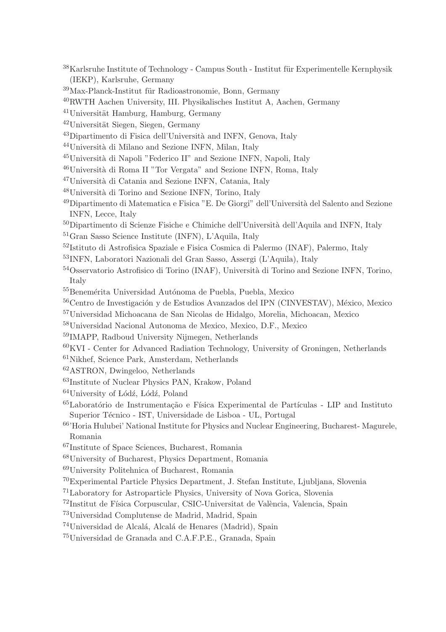- Karlsruhe Institute of Technology Campus South Institut für Experimentelle Kernphysik (IEKP), Karlsruhe, Germany
- Max-Planck-Institut für Radioastronomie, Bonn, Germany
- RWTH Aachen University, III. Physikalisches Institut A, Aachen, Germany
- Universität Hamburg, Hamburg, Germany
- Universität Siegen, Siegen, Germany
- <sup>43</sup>Dipartimento di Fisica dell'Università and INFN, Genova, Italy
- <sup>44</sup>Università di Milano and Sezione INFN, Milan, Italy
- <sup>45</sup>Università di Napoli "Federico II" and Sezione INFN, Napoli, Italy
- <sup>46</sup>Università di Roma II "Tor Vergata" and Sezione INFN, Roma, Italy
- <sup>47</sup>Università di Catania and Sezione INFN, Catania, Italy
- Università di Torino and Sezione INFN, Torino, Italy
- $^{49}{\rm Dipartimento}$ di Matematica e Fisica "E. De Giorgi" dell'Università del Salento and Sezione INFN, Lecce, Italy
- Dipartimento di Scienze Fisiche e Chimiche dell'Università dell'Aquila and INFN, Italy
- Gran Sasso Science Institute (INFN), L'Aquila, Italy
- Istituto di Astrofisica Spaziale e Fisica Cosmica di Palermo (INAF), Palermo, Italy
- INFN, Laboratori Nazionali del Gran Sasso, Assergi (L'Aquila), Italy
- $^{54}\mathrm{O}$ sservatorio Astrofisico di Torino (INAF), Università di Torino and Sezione INFN, Torino, Italy
- <sup>55</sup>Benemérita Universidad Autónoma de Puebla, Puebla, Mexico
- Centro de Investigación y de Estudios Avanzados del IPN (CINVESTAV), México, Mexico
- Universidad Michoacana de San Nicolas de Hidalgo, Morelia, Michoacan, Mexico
- Universidad Nacional Autonoma de Mexico, Mexico, D.F., Mexico
- IMAPP, Radboud University Nijmegen, Netherlands
- KVI Center for Advanced Radiation Technology, University of Groningen, Netherlands
- Nikhef, Science Park, Amsterdam, Netherlands
- ASTRON, Dwingeloo, Netherlands
- Institute of Nuclear Physics PAN, Krakow, Poland
- University of Lódź, Lódź, Poland
- $^{65}$ Laboratório de Instrumentação e Física Experimental de Partículas LIP and Instituto Superior Técnico - IST, Universidade de Lisboa - UL, Portugal
- 'Horia Hulubei' National Institute for Physics and Nuclear Engineering, Bucharest- Magurele, Romania
- Institute of Space Sciences, Bucharest, Romania
- University of Bucharest, Physics Department, Romania
- University Politehnica of Bucharest, Romania
- Experimental Particle Physics Department, J. Stefan Institute, Ljubljana, Slovenia
- Laboratory for Astroparticle Physics, University of Nova Gorica, Slovenia
- $^{72}$ Institut de Física Corpuscular, CSIC-Universitat de València, Valencia, Spain
- Universidad Complutense de Madrid, Madrid, Spain
- <sup>74</sup>Universidad de Alcalá, Alcalá de Henares (Madrid), Spain
- Universidad de Granada and C.A.F.P.E., Granada, Spain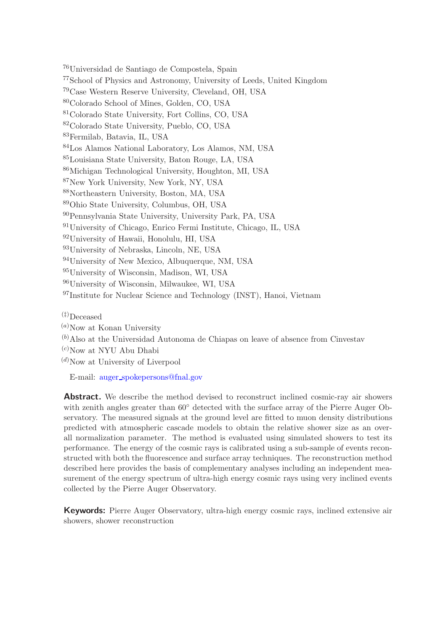Universidad de Santiago de Compostela, Spain School of Physics and Astronomy, University of Leeds, United Kingdom Case Western Reserve University, Cleveland, OH, USA Colorado School of Mines, Golden, CO, USA Colorado State University, Fort Collins, CO, USA Colorado State University, Pueblo, CO, USA Fermilab, Batavia, IL, USA Los Alamos National Laboratory, Los Alamos, NM, USA Louisiana State University, Baton Rouge, LA, USA Michigan Technological University, Houghton, MI, USA New York University, New York, NY, USA Northeastern University, Boston, MA, USA Ohio State University, Columbus, OH, USA Pennsylvania State University, University Park, PA, USA University of Chicago, Enrico Fermi Institute, Chicago, IL, USA University of Hawaii, Honolulu, HI, USA University of Nebraska, Lincoln, NE, USA University of New Mexico, Albuquerque, NM, USA University of Wisconsin, Madison, WI, USA University of Wisconsin, Milwaukee, WI, USA <sup>97</sup>Institute for Nuclear Science and Technology (INST), Hanoi, Vietnam

(‡)Deceased

 $^{(a)}$ Now at Konan University

 $(b)$ Also at the Universidad Autonoma de Chiapas on leave of absence from Cinvestav

 $(c)$ Now at NYU Abu Dhabi

 $(d)$ Now at University of Liverpool

E-mail: auger [spokepersons@fnal.gov](mailto:auger_spokepersons@fnal.gov)

Abstract. We describe the method devised to reconstruct inclined cosmic-ray air showers with zenith angles greater than  $60^{\circ}$  detected with the surface array of the Pierre Auger Observatory. The measured signals at the ground level are fitted to muon density distributions predicted with atmospheric cascade models to obtain the relative shower size as an overall normalization parameter. The method is evaluated using simulated showers to test its performance. The energy of the cosmic rays is calibrated using a sub-sample of events reconstructed with both the fluorescence and surface array techniques. The reconstruction method described here provides the basis of complementary analyses including an independent measurement of the energy spectrum of ultra-high energy cosmic rays using very inclined events collected by the Pierre Auger Observatory.

Keywords: Pierre Auger Observatory, ultra-high energy cosmic rays, inclined extensive air showers, shower reconstruction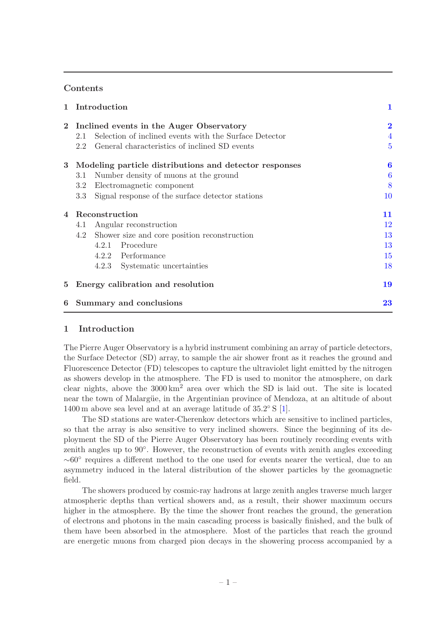### **Contents**

| $\mathbf{1}$ | Introduction                                                   | 1                |
|--------------|----------------------------------------------------------------|------------------|
| $\mathbf{2}$ | Inclined events in the Auger Observatory                       | $\overline{2}$   |
|              | Selection of inclined events with the Surface Detector<br>2.1  | $\overline{4}$   |
|              | General characteristics of inclined SD events<br>$2.2^{\circ}$ | $\overline{5}$   |
| 3            | Modeling particle distributions and detector responses         | $\boldsymbol{6}$ |
|              | Number density of muons at the ground<br>3.1                   | 6                |
|              | Electromagnetic component<br>3.2                               | 8                |
|              | Signal response of the surface detector stations<br>3.3        | 10               |
| 4            | Reconstruction                                                 | 11               |
|              | Angular reconstruction<br>4.1                                  | 12               |
|              | Shower size and core position reconstruction<br>4.2            | 13               |
|              | 4.2.1 Procedure                                                | 13               |
|              | 4.2.2 Performance                                              | 15               |
|              | 4.2.3 Systematic uncertainties                                 | 18               |
| $5^{\circ}$  | Energy calibration and resolution                              | 19               |
| 6            | Summary and conclusions                                        | 23               |

## <span id="page-8-0"></span>1 Introduction

The Pierre Auger Observatory is a hybrid instrument combining an array of particle detectors, the Surface Detector (SD) array, to sample the air shower front as it reaches the ground and Fluorescence Detector (FD) telescopes to capture the ultraviolet light emitted by the nitrogen as showers develop in the atmosphere. The FD is used to monitor the atmosphere, on dark clear nights, above the  $3000 \text{ km}^2$  area over which the SD is laid out. The site is located near the town of Malargüe, in the Argentinian province of Mendoza, at an altitude of about 1400 m above sea level and at an average latitude of  $35.2^{\circ}$  S [\[1](#page-31-0)].

The SD stations are water-Cherenkov detectors which are sensitive to inclined particles, so that the array is also sensitive to very inclined showers. Since the beginning of its deployment the SD of the Pierre Auger Observatory has been routinely recording events with zenith angles up to 90°. However, the reconstruction of events with zenith angles exceeding <sup>∼</sup>60◦ requires a different method to the one used for events nearer the vertical, due to an asymmetry induced in the lateral distribution of the shower particles by the geomagnetic field.

The showers produced by cosmic-ray hadrons at large zenith angles traverse much larger atmospheric depths than vertical showers and, as a result, their shower maximum occurs higher in the atmosphere. By the time the shower front reaches the ground, the generation of electrons and photons in the main cascading process is basically finished, and the bulk of them have been absorbed in the atmosphere. Most of the particles that reach the ground are energetic muons from charged pion decays in the showering process accompanied by a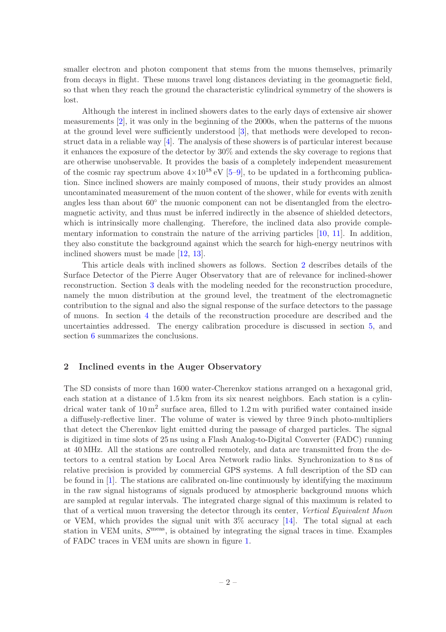smaller electron and photon component that stems from the muons themselves, primarily from decays in flight. These muons travel long distances deviating in the geomagnetic field, so that when they reach the ground the characteristic cylindrical symmetry of the showers is lost.

Although the interest in inclined showers dates to the early days of extensive air shower measurements [\[2\]](#page-31-1), it was only in the beginning of the 2000s, when the patterns of the muons at the ground level were sufficiently understood [\[3](#page-31-2)], that methods were developed to reconstruct data in a reliable way  $\left[4\right]$ . The analysis of these showers is of particular interest because it enhances the exposure of the detector by 30% and extends the sky coverage to regions that are otherwise unobservable. It provides the basis of a completely independent measurement of the cosmic ray spectrum above  $4\times10^{18}$  eV [\[5](#page-32-0)[–9](#page-32-1)], to be updated in a forthcoming publication. Since inclined showers are mainly composed of muons, their study provides an almost uncontaminated measurement of the muon content of the shower, while for events with zenith angles less than about 60<sup>°</sup> the muonic component can not be disentangled from the electromagnetic activity, and thus must be inferred indirectly in the absence of shielded detectors, which is intrinsically more challenging. Therefore, the inclined data also provide complementary information to constrain the nature of the arriving particles [\[10](#page-32-2), [11](#page-32-3)]. In addition, they also constitute the background against which the search for high-energy neutrinos with inclined showers must be made [\[12](#page-32-4), [13](#page-32-5)].

This article deals with inclined showers as follows. Section [2](#page-9-0) describes details of the Surface Detector of the Pierre Auger Observatory that are of relevance for inclined-shower reconstruction. Section [3](#page-13-0) deals with the modeling needed for the reconstruction procedure, namely the muon distribution at the ground level, the treatment of the electromagnetic contribution to the signal and also the signal response of the surface detectors to the passage of muons. In section [4](#page-18-0) the details of the reconstruction procedure are described and the uncertainties addressed. The energy calibration procedure is discussed in section [5,](#page-26-0) and section [6](#page-30-0) summarizes the conclusions.

#### <span id="page-9-0"></span>2 Inclined events in the Auger Observatory

The SD consists of more than 1600 water-Cherenkov stations arranged on a hexagonal grid, each station at a distance of 1.5 km from its six nearest neighbors. Each station is a cylindrical water tank of  $10 \text{ m}^2$  surface area, filled to  $1.2 \text{ m}$  with purified water contained inside a diffusely-reflective liner. The volume of water is viewed by three 9 inch photo-multipliers that detect the Cherenkov light emitted during the passage of charged particles. The signal is digitized in time slots of 25 ns using a Flash Analog-to-Digital Converter (FADC) running at 40 MHz. All the stations are controlled remotely, and data are transmitted from the detectors to a central station by Local Area Network radio links. Synchronization to 8 ns of relative precision is provided by commercial GPS systems. A full description of the SD can be found in [\[1](#page-31-0)]. The stations are calibrated on-line continuously by identifying the maximum in the raw signal histograms of signals produced by atmospheric background muons which are sampled at regular intervals. The integrated charge signal of this maximum is related to that of a vertical muon traversing the detector through its center, Vertical Equivalent Muon or VEM, which provides the signal unit with 3% accuracy [\[14\]](#page-32-6). The total signal at each station in VEM units,  $S<sup>meas</sup>$ , is obtained by integrating the signal traces in time. Examples of FADC traces in VEM units are shown in figure [1.](#page-10-0)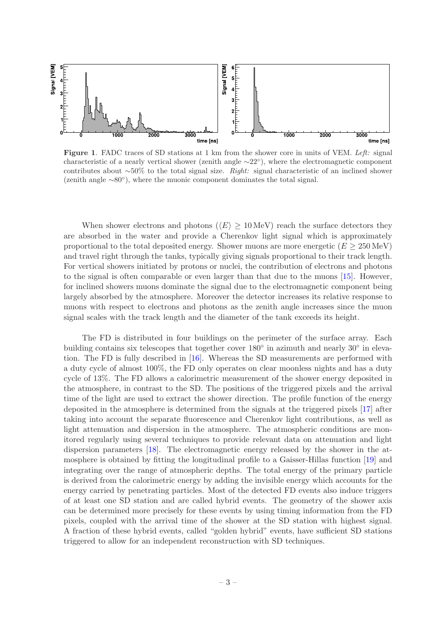

<span id="page-10-0"></span>Figure 1. FADC traces of SD stations at 1 km from the shower core in units of VEM. Left: signal characteristic of a nearly vertical shower (zenith angle <sup>∼</sup>22◦ ), where the electromagnetic component contributes about  $~50\%$  to the total signal size. Right: signal characteristic of an inclined shower (zenith angle  $\sim$ 80°), where the muonic component dominates the total signal.

When shower electrons and photons ( $\langle E \rangle \geq 10 \,\text{MeV}$ ) reach the surface detectors they are absorbed in the water and provide a Cherenkov light signal which is approximately proportional to the total deposited energy. Shower muons are more energetic  $(E \geq 250 \,\text{MeV})$ and travel right through the tanks, typically giving signals proportional to their track length. For vertical showers initiated by protons or nuclei, the contribution of electrons and photons to the signal is often comparable or even larger than that due to the muons [\[15](#page-32-7)]. However, for inclined showers muons dominate the signal due to the electromagnetic component being largely absorbed by the atmosphere. Moreover the detector increases its relative response to muons with respect to electrons and photons as the zenith angle increases since the muon signal scales with the track length and the diameter of the tank exceeds its height.

The FD is distributed in four buildings on the perimeter of the surface array. Each building contains six telescopes that together cover  $180^{\circ}$  in azimuth and nearly  $30^{\circ}$  in elevation. The FD is fully described in [\[16](#page-32-8)]. Whereas the SD measurements are performed with a duty cycle of almost 100%, the FD only operates on clear moonless nights and has a duty cycle of 13%. The FD allows a calorimetric measurement of the shower energy deposited in the atmosphere, in contrast to the SD. The positions of the triggered pixels and the arrival time of the light are used to extract the shower direction. The profile function of the energy deposited in the atmosphere is determined from the signals at the triggered pixels [\[17](#page-32-9)] after taking into account the separate fluorescence and Cherenkov light contributions, as well as light attenuation and dispersion in the atmosphere. The atmospheric conditions are monitored regularly using several techniques to provide relevant data on attenuation and light dispersion parameters [\[18\]](#page-32-10). The electromagnetic energy released by the shower in the atmosphere is obtained by fitting the longitudinal profile to a Gaisser-Hillas function [\[19\]](#page-32-11) and integrating over the range of atmospheric depths. The total energy of the primary particle is derived from the calorimetric energy by adding the invisible energy which accounts for the energy carried by penetrating particles. Most of the detected FD events also induce triggers of at least one SD station and are called hybrid events. The geometry of the shower axis can be determined more precisely for these events by using timing information from the FD pixels, coupled with the arrival time of the shower at the SD station with highest signal. A fraction of these hybrid events, called "golden hybrid" events, have sufficient SD stations triggered to allow for an independent reconstruction with SD techniques.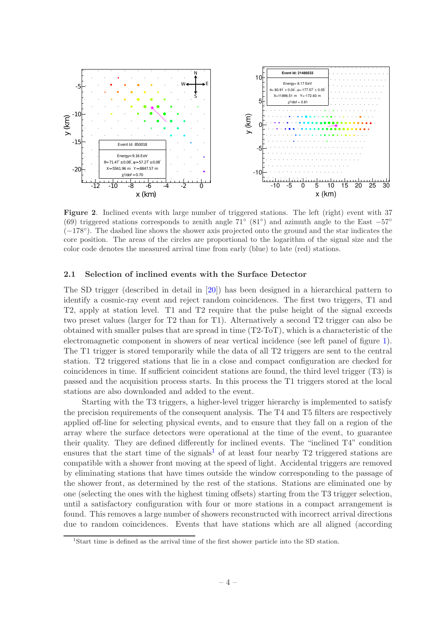

<span id="page-11-2"></span>Figure 2. Inclined events with large number of triggered stations. The left (right) event with 37 (69) triggered stations corresponds to zenith angle  $71°$  (81°) and azimuth angle to the East  $-57°$ (−178◦ ). The dashed line shows the shower axis projected onto the ground and the star indicates the core position. The areas of the circles are proportional to the logarithm of the signal size and the color code denotes the measured arrival time from early (blue) to late (red) stations.

#### <span id="page-11-0"></span>2.1 Selection of inclined events with the Surface Detector

The SD trigger (described in detail in [\[20](#page-32-12)]) has been designed in a hierarchical pattern to identify a cosmic-ray event and reject random coincidences. The first two triggers, T1 and T2, apply at station level. T1 and T2 require that the pulse height of the signal exceeds two preset values (larger for T2 than for T1). Alternatively a second T2 trigger can also be obtained with smaller pulses that are spread in time (T2-ToT), which is a characteristic of the electromagnetic component in showers of near vertical incidence (see left panel of figure [1\)](#page-10-0). The T1 trigger is stored temporarily while the data of all T2 triggers are sent to the central station. T2 triggered stations that lie in a close and compact configuration are checked for coincidences in time. If sufficient coincident stations are found, the third level trigger (T3) is passed and the acquisition process starts. In this process the T1 triggers stored at the local stations are also downloaded and added to the event.

Starting with the T3 triggers, a higher-level trigger hierarchy is implemented to satisfy the precision requirements of the consequent analysis. The T4 and T5 filters are respectively applied off-line for selecting physical events, and to ensure that they fall on a region of the array where the surface detectors were operational at the time of the event, to guarantee their quality. They are defined differently for inclined events. The "inclined T4" condition ensures that the start time of the signals<sup>[1](#page-11-1)</sup> of at least four nearby  $T2$  triggered stations are compatible with a shower front moving at the speed of light. Accidental triggers are removed by eliminating stations that have times outside the window corresponding to the passage of the shower front, as determined by the rest of the stations. Stations are eliminated one by one (selecting the ones with the highest timing offsets) starting from the T3 trigger selection, until a satisfactory configuration with four or more stations in a compact arrangement is found. This removes a large number of showers reconstructed with incorrect arrival directions due to random coincidences. Events that have stations which are all aligned (according

<span id="page-11-1"></span><sup>1</sup> Start time is defined as the arrival time of the first shower particle into the SD station.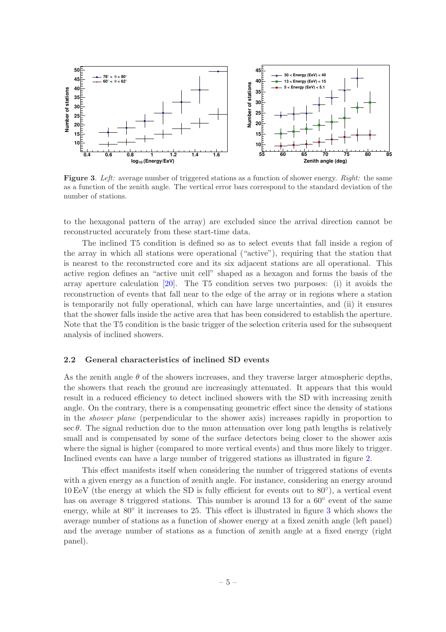

<span id="page-12-1"></span>Figure 3. Left: average number of triggered stations as a function of shower energy. Right: the same as a function of the zenith angle. The vertical error bars correspond to the standard deviation of the number of stations.

to the hexagonal pattern of the array) are excluded since the arrival direction cannot be reconstructed accurately from these start-time data.

The inclined T5 condition is defined so as to select events that fall inside a region of the array in which all stations were operational ("active"), requiring that the station that is nearest to the reconstructed core and its six adjacent stations are all operational. This active region defines an "active unit cell" shaped as a hexagon and forms the basis of the array aperture calculation [\[20\]](#page-32-12). The T5 condition serves two purposes: (i) it avoids the reconstruction of events that fall near to the edge of the array or in regions where a station is temporarily not fully operational, which can have large uncertainties, and (ii) it ensures that the shower falls inside the active area that has been considered to establish the aperture. Note that the T5 condition is the basic trigger of the selection criteria used for the subsequent analysis of inclined showers.

#### <span id="page-12-0"></span>2.2 General characteristics of inclined SD events

As the zenith angle  $\theta$  of the showers increases, and they traverse larger atmospheric depths, the showers that reach the ground are increasingly attenuated. It appears that this would result in a reduced efficiency to detect inclined showers with the SD with increasing zenith angle. On the contrary, there is a compensating geometric effect since the density of stations in the shower plane (perpendicular to the shower axis) increases rapidly in proportion to  $\sec \theta$ . The signal reduction due to the muon attenuation over long path lengths is relatively small and is compensated by some of the surface detectors being closer to the shower axis where the signal is higher (compared to more vertical events) and thus more likely to trigger. Inclined events can have a large number of triggered stations as illustrated in figure [2.](#page-11-2)

This effect manifests itself when considering the number of triggered stations of events with a given energy as a function of zenith angle. For instance, considering an energy around 10 EeV (the energy at which the SD is fully efficient for events out to 80◦ ), a vertical event has on average 8 triggered stations. This number is around 13 for a  $60^{\circ}$  event of the same energy, while at 80° it increases to 25. This effect is illustrated in figure [3](#page-12-1) which shows the average number of stations as a function of shower energy at a fixed zenith angle (left panel) and the average number of stations as a function of zenith angle at a fixed energy (right panel).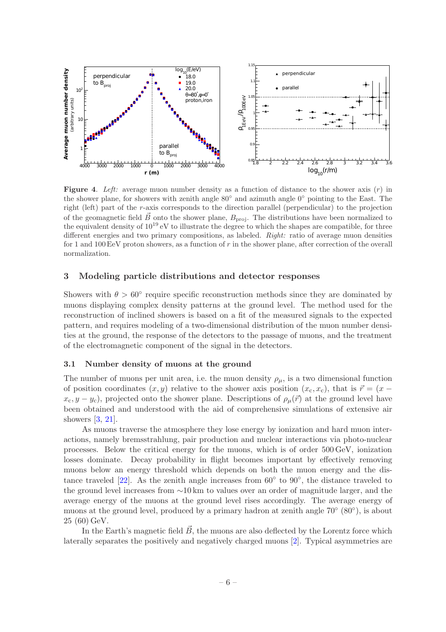

<span id="page-13-2"></span>**Figure 4.** Left: average muon number density as a function of distance to the shower axis  $(r)$  in the shower plane, for showers with zenith angle 80◦ and azimuth angle 0◦ pointing to the East. The right (left) part of the r-axis corresponds to the direction parallel (perpendicular) to the projection of the geomagnetic field  $\vec{B}~$  onto the shower plane,  $B_{\text{proj}}$ . The distributions have been normalized to the equivalent density of 10<sup>19</sup> eV to illustrate the degree to which the shapes are compatible, for three different energies and two primary compositions, as labeled. *Right:* ratio of average muon densities for 1 and 100 EeV proton showers, as a function of  $r$  in the shower plane, after correction of the overall normalization.

#### <span id="page-13-0"></span>3 Modeling particle distributions and detector responses

Showers with  $\theta > 60^{\circ}$  require specific reconstruction methods since they are dominated by muons displaying complex density patterns at the ground level. The method used for the reconstruction of inclined showers is based on a fit of the measured signals to the expected pattern, and requires modeling of a two-dimensional distribution of the muon number densities at the ground, the response of the detectors to the passage of muons, and the treatment of the electromagnetic component of the signal in the detectors.

#### <span id="page-13-1"></span>3.1 Number density of muons at the ground

The number of muons per unit area, i.e. the muon density  $\rho_{\mu}$ , is a two dimensional function of position coordinates  $(x, y)$  relative to the shower axis position  $(x_c, x_c)$ , that is  $\vec{r} = (x - \vec{r})$  $x_c, y - y_c$ , projected onto the shower plane. Descriptions of  $\rho_\mu(\vec{r})$  at the ground level have been obtained and understood with the aid of comprehensive simulations of extensive air showers [\[3,](#page-31-2) [21](#page-32-13)].

As muons traverse the atmosphere they lose energy by ionization and hard muon interactions, namely bremsstrahlung, pair production and nuclear interactions via photo-nuclear processes. Below the critical energy for the muons, which is of order 500 GeV, ionization losses dominate. Decay probability in flight becomes important by effectively removing muons below an energy threshold which depends on both the muon energy and the distance traveled  $[22]$ . As the zenith angle increases from  $60^{\circ}$  to  $90^{\circ}$ , the distance traveled to the ground level increases from ∼10 km to values over an order of magnitude larger, and the average energy of the muons at the ground level rises accordingly. The average energy of muons at the ground level, produced by a primary hadron at zenith angle 70<sup>°</sup> (80<sup>°</sup>), is about 25 (60) GeV.

In the Earth's magnetic field  $\vec{B}$ , the muons are also deflected by the Lorentz force which laterally separates the positively and negatively charged muons [\[2](#page-31-1)]. Typical asymmetries are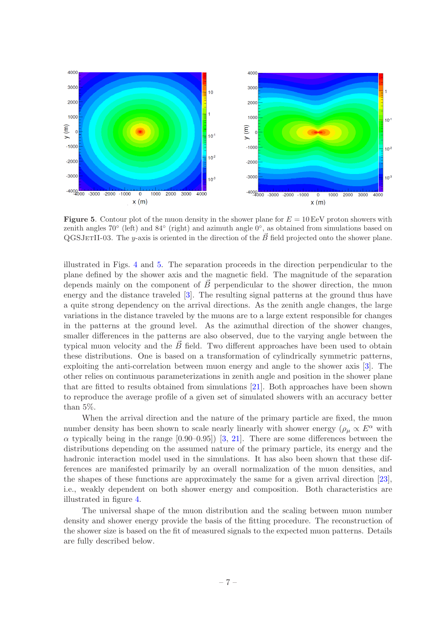

<span id="page-14-0"></span>**Figure 5.** Contour plot of the muon density in the shower plane for  $E = 10 \,\text{EeV}$  proton showers with zenith angles 70° (left) and 84° (right) and azimuth angle 0°, as obtained from simulations based on QGSJETII-03. The y-axis is oriented in the direction of the  $\vec{B}$  field projected onto the shower plane.

illustrated in Figs. [4](#page-13-2) and [5.](#page-14-0) The separation proceeds in the direction perpendicular to the plane defined by the shower axis and the magnetic field. The magnitude of the separation depends mainly on the component of  $\vec{B}$  perpendicular to the shower direction, the muon energy and the distance traveled [\[3](#page-31-2)]. The resulting signal patterns at the ground thus have a quite strong dependency on the arrival directions. As the zenith angle changes, the large variations in the distance traveled by the muons are to a large extent responsible for changes in the patterns at the ground level. As the azimuthal direction of the shower changes, smaller differences in the patterns are also observed, due to the varying angle between the typical muon velocity and the  $\vec{B}$  field. Two different approaches have been used to obtain these distributions. One is based on a transformation of cylindrically symmetric patterns, exploiting the anti-correlation between muon energy and angle to the shower axis [\[3](#page-31-2)]. The other relies on continuous parameterizations in zenith angle and position in the shower plane that are fitted to results obtained from simulations [\[21](#page-32-13)]. Both approaches have been shown to reproduce the average profile of a given set of simulated showers with an accuracy better than 5%.

When the arrival direction and the nature of the primary particle are fixed, the muon number density has been shown to scale nearly linearly with shower energy ( $\rho_{\mu} \propto E^{\alpha}$  with  $\alpha$  typically being in the range [0.90–0.95]) [\[3,](#page-31-2) [21\]](#page-32-13). There are some differences between the distributions depending on the assumed nature of the primary particle, its energy and the hadronic interaction model used in the simulations. It has also been shown that these differences are manifested primarily by an overall normalization of the muon densities, and the shapes of these functions are approximately the same for a given arrival direction [\[23](#page-32-15)], i.e., weakly dependent on both shower energy and composition. Both characteristics are illustrated in figure [4.](#page-13-2)

The universal shape of the muon distribution and the scaling between muon number density and shower energy provide the basis of the fitting procedure. The reconstruction of the shower size is based on the fit of measured signals to the expected muon patterns. Details are fully described below.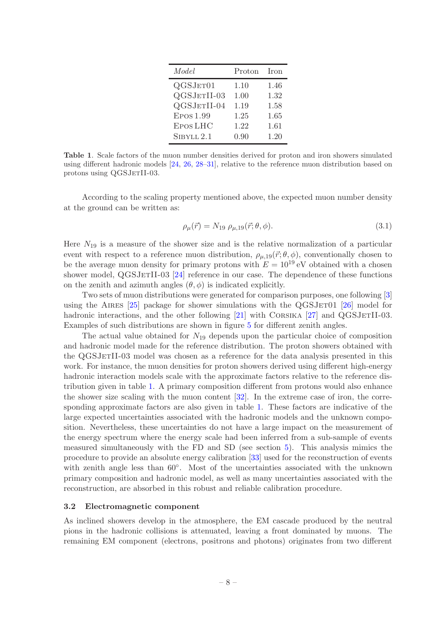| Model           | Proton | <b>Iron</b> |
|-----------------|--------|-------------|
| QGSJET01        | 1.10   | 1.46        |
| QGSJETII-03     | 1.00   | 1.32        |
| QGSJETII-04     | 1.19   | 1.58        |
| Epos 1.99       | 1.25   | 1.65        |
| <b>EPOS LHC</b> | 1.22   | 1.61        |
| SIBYLL 2.1      | 0.90   | 1.20        |

<span id="page-15-1"></span>Table 1. Scale factors of the muon number densities derived for proton and iron showers simulated using different hadronic models [\[24,](#page-33-0) [26,](#page-33-1) [28](#page-33-2)[–31\]](#page-33-3), relative to the reference muon distribution based on protons using QGSJETII-03.

According to the scaling property mentioned above, the expected muon number density at the ground can be written as:

<span id="page-15-2"></span>
$$
\rho_{\mu}(\vec{r}) = N_{19} \; \rho_{\mu,19}(\vec{r}; \theta, \phi). \tag{3.1}
$$

Here  $N_{19}$  is a measure of the shower size and is the relative normalization of a particular event with respect to a reference muon distribution,  $\rho_{\mu,19}(\vec{r};\theta,\phi)$ , conventionally chosen to be the average muon density for primary protons with  $E = 10^{19}$  eV obtained with a chosen shower model,  $QGSJerII-03$  [\[24\]](#page-33-0) reference in our case. The dependence of these functions on the zenith and azimuth angles  $(\theta, \phi)$  is indicated explicitly.

Two sets of muon distributions were generated for comparison purposes, one following [\[3](#page-31-2)] using the AIRES  $[25]$  $[25]$  package for shower simulations with the QGSJET01  $[26]$  $[26]$  model for hadronic interactions, and the other following  $[21]$  with CORSIKA  $[27]$  $[27]$  and QGSJETII-03. Examples of such distributions are shown in figure [5](#page-14-0) for different zenith angles.

The actual value obtained for  $N_{19}$  depends upon the particular choice of composition and hadronic model made for the reference distribution. The proton showers obtained with the QGSJETII-03 model was chosen as a reference for the data analysis presented in this work. For instance, the muon densities for proton showers derived using different high-energy hadronic interaction models scale with the approximate factors relative to the reference distribution given in table [1.](#page-15-1) A primary composition different from protons would also enhance the shower size scaling with the muon content [\[32](#page-33-6)]. In the extreme case of iron, the corresponding approximate factors are also given in table [1.](#page-15-1) These factors are indicative of the large expected uncertainties associated with the hadronic models and the unknown composition. Nevertheless, these uncertainties do not have a large impact on the measurement of the energy spectrum where the energy scale had been inferred from a sub-sample of events measured simultaneously with the FD and SD (see section [5\)](#page-26-0). This analysis mimics the procedure to provide an absolute energy calibration [\[33\]](#page-33-7) used for the reconstruction of events with zenith angle less than 60◦ . Most of the uncertainties associated with the unknown primary composition and hadronic model, as well as many uncertainties associated with the reconstruction, are absorbed in this robust and reliable calibration procedure.

#### <span id="page-15-0"></span>3.2 Electromagnetic component

As inclined showers develop in the atmosphere, the EM cascade produced by the neutral pions in the hadronic collisions is attenuated, leaving a front dominated by muons. The remaining EM component (electrons, positrons and photons) originates from two different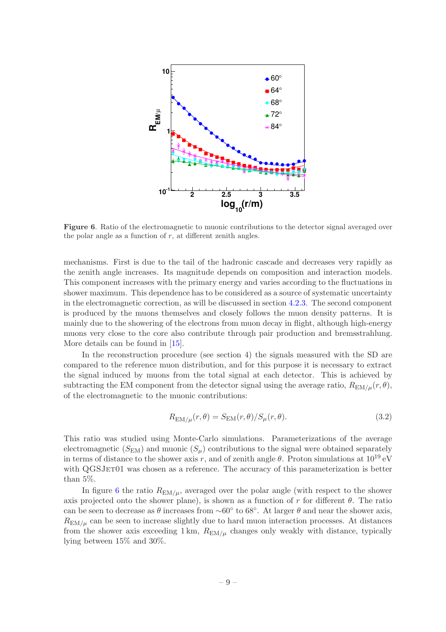

<span id="page-16-0"></span>Figure 6. Ratio of the electromagnetic to muonic contributions to the detector signal averaged over the polar angle as a function of  $r$ , at different zenith angles.

mechanisms. First is due to the tail of the hadronic cascade and decreases very rapidly as the zenith angle increases. Its magnitude depends on composition and interaction models. This component increases with the primary energy and varies according to the fluctuations in shower maximum. This dependence has to be considered as a source of systematic uncertainty in the electromagnetic correction, as will be discussed in section [4.2.3.](#page-25-0) The second component is produced by the muons themselves and closely follows the muon density patterns. It is mainly due to the showering of the electrons from muon decay in flight, although high-energy muons very close to the core also contribute through pair production and bremsstrahlung. More details can be found in [\[15\]](#page-32-7).

In the reconstruction procedure (see section 4) the signals measured with the SD are compared to the reference muon distribution, and for this purpose it is necessary to extract the signal induced by muons from the total signal at each detector. This is achieved by subtracting the EM component from the detector signal using the average ratio,  $R_{EM/\mu}(r, \theta)$ , of the electromagnetic to the muonic contributions:

<span id="page-16-1"></span>
$$
R_{\text{EM}/\mu}(r,\theta) = S_{\text{EM}}(r,\theta)/S_{\mu}(r,\theta). \tag{3.2}
$$

This ratio was studied using Monte-Carlo simulations. Parameterizations of the average electromagnetic  $(S<sub>EM</sub>)$  and muonic  $(S<sub>u</sub>)$  contributions to the signal were obtained separately in terms of distance to the shower axis r, and of zenith angle  $\theta$ . Proton simulations at  $10^{19}$  eV with QGSJET01 was chosen as a reference. The accuracy of this parameterization is better than 5%.

In figure [6](#page-16-0) the ratio  $R_{EM/\mu}$ , averaged over the polar angle (with respect to the shower axis projected onto the shower plane), is shown as a function of r for different  $\theta$ . The ratio can be seen to decrease as  $\theta$  increases from ~60° to 68°. At larger  $\theta$  and near the shower axis,  $R_{EM/\mu}$  can be seen to increase slightly due to hard muon interaction processes. At distances from the shower axis exceeding 1 km,  $R_{EM/\mu}$  changes only weakly with distance, typically lying between 15% and 30%.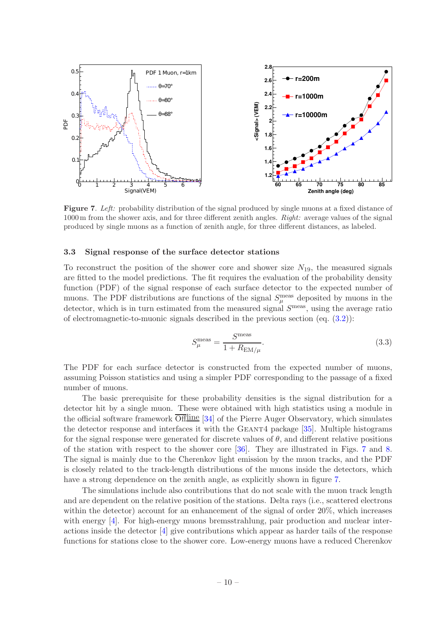![](_page_17_Figure_0.jpeg)

<span id="page-17-1"></span>Figure 7. Left: probability distribution of the signal produced by single muons at a fixed distance of 1000 m from the shower axis, and for three different zenith angles. Right: average values of the signal produced by single muons as a function of zenith angle, for three different distances, as labeled.

#### <span id="page-17-0"></span>3.3 Signal response of the surface detector stations

To reconstruct the position of the shower core and shower size  $N_{19}$ , the measured signals are fitted to the model predictions. The fit requires the evaluation of the probability density function (PDF) of the signal response of each surface detector to the expected number of muons. The PDF distributions are functions of the signal  $S_{\mu}^{\text{meas}}$  deposited by muons in the detector, which is in turn estimated from the measured signal  $S<sup>meas</sup>$ , using the average ratio of electromagnetic-to-muonic signals described in the previous section (eq. [\(3.2\)](#page-16-1)):

<span id="page-17-2"></span>
$$
S_{\mu}^{\text{meas}} = \frac{S^{\text{meas}}}{1 + R_{\text{EM}/\mu}}.\tag{3.3}
$$

The PDF for each surface detector is constructed from the expected number of muons, assuming Poisson statistics and using a simpler PDF corresponding to the passage of a fixed number of muons.

The basic prerequisite for these probability densities is the signal distribution for a detector hit by a single muon. These were obtained with high statistics using a module in the official software framework  $\overline{\text{Offline}}$  [\[34](#page-33-8)] of the Pierre Auger Observatory, which simulates the detector response and interfaces it with the GEANT4 package [\[35](#page-33-9)]. Multiple histograms for the signal response were generated for discrete values of  $\theta$ , and different relative positions of the station with respect to the shower core [\[36](#page-33-10)]. They are illustrated in Figs. [7](#page-17-1) and [8.](#page-18-1) The signal is mainly due to the Cherenkov light emission by the muon tracks, and the PDF is closely related to the track-length distributions of the muons inside the detectors, which have a strong dependence on the zenith angle, as explicitly shown in figure [7.](#page-17-1)

The simulations include also contributions that do not scale with the muon track length and are dependent on the relative position of the stations. Delta rays (i.e., scattered electrons within the detector) account for an enhancement of the signal of order 20\%, which increases with energy [\[4\]](#page-31-3). For high-energy muons bremsstrahlung, pair production and nuclear interactions inside the detector [\[4](#page-31-3)] give contributions which appear as harder tails of the response functions for stations close to the shower core. Low-energy muons have a reduced Cherenkov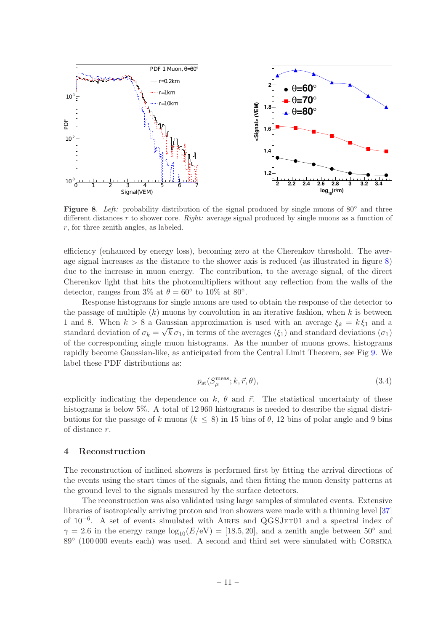![](_page_18_Figure_0.jpeg)

<span id="page-18-1"></span>Figure 8. Left: probability distribution of the signal produced by single muons of  $80°$  and three different distances r to shower core. Right: average signal produced by single muons as a function of  $r$ , for three zenith angles, as labeled.

efficiency (enhanced by energy loss), becoming zero at the Cherenkov threshold. The average signal increases as the distance to the shower axis is reduced (as illustrated in figure [8\)](#page-18-1) due to the increase in muon energy. The contribution, to the average signal, of the direct Cherenkov light that hits the photomultipliers without any reflection from the walls of the detector, ranges from  $3\%$  at  $\theta = 60^{\circ}$  to  $10\%$  at  $80^{\circ}$ .

Response histograms for single muons are used to obtain the response of the detector to the passage of multiple  $(k)$  muons by convolution in an iterative fashion, when k is between 1 and 8. When  $k > 8$  a Gaussian approximation is used with an average  $\xi_k = k \xi_1$  and a standard deviation of  $\sigma_k = \sqrt{k} \sigma_1$ , in terms of the averages  $(\xi_1)$  and standard deviations  $(\sigma_1)$ of the corresponding single muon histograms. As the number of muons grows, histograms rapidly become Gaussian-like, as anticipated from the Central Limit Theorem, see Fig [9.](#page-19-1) We label these PDF distributions as:

<span id="page-18-2"></span>
$$
p_{\rm st}(S_{\mu}^{\rm meas}; k, \vec{r}, \theta), \tag{3.4}
$$

explicitly indicating the dependence on k,  $\theta$  and  $\vec{r}$ . The statistical uncertainty of these histograms is below 5%. A total of 12960 histograms is needed to describe the signal distributions for the passage of k muons ( $k \leq 8$ ) in 15 bins of  $\theta$ , 12 bins of polar angle and 9 bins of distance r.

## <span id="page-18-0"></span>4 Reconstruction

The reconstruction of inclined showers is performed first by fitting the arrival directions of the events using the start times of the signals, and then fitting the muon density patterns at the ground level to the signals measured by the surface detectors.

The reconstruction was also validated using large samples of simulated events. Extensive libraries of isotropically arriving proton and iron showers were made with a thinning level [\[37](#page-33-11)] of 10<sup>-6</sup>. A set of events simulated with AIRES and QGSJET01 and a spectral index of  $\gamma = 2.6$  in the energy range  $\log_{10}(E/\text{eV}) = [18.5, 20]$ , and a zenith angle between  $50^{\circ}$  and 89<sup>°</sup> (100 000 events each) was used. A second and third set were simulated with CORSIKA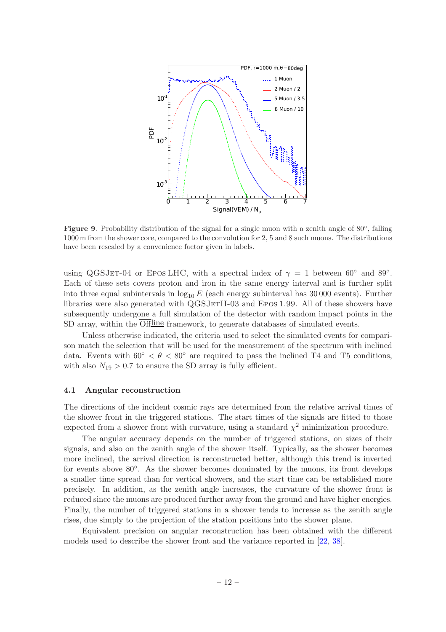![](_page_19_Figure_0.jpeg)

<span id="page-19-1"></span>Figure 9. Probability distribution of the signal for a single muon with a zenith angle of 80°, falling 1000 m from the shower core, compared to the convolution for 2, 5 and 8 such muons. The distributions have been rescaled by a convenience factor given in labels.

using QGSJET-04 or EPOSLHC, with a spectral index of  $\gamma = 1$  between 60<sup>°</sup> and 89<sup>°</sup>. Each of these sets covers proton and iron in the same energy interval and is further split into three equal subintervals in  $log_{10} E$  (each energy subinterval has 30 000 events). Further libraries were also generated with QGSJETII-03 and EPOS 1.99. All of these showers have subsequently undergone a full simulation of the detector with random impact points in the SD array, within the  $\overline{Offline}$  framework, to generate databases of simulated events.

Unless otherwise indicated, the criteria used to select the simulated events for comparison match the selection that will be used for the measurement of the spectrum with inclined data. Events with  $60° < \theta < 80°$  are required to pass the inclined T4 and T5 conditions, with also  $N_{19} > 0.7$  to ensure the SD array is fully efficient.

#### <span id="page-19-0"></span>4.1 Angular reconstruction

The directions of the incident cosmic rays are determined from the relative arrival times of the shower front in the triggered stations. The start times of the signals are fitted to those expected from a shower front with curvature, using a standard  $\chi^2$  minimization procedure.

The angular accuracy depends on the number of triggered stations, on sizes of their signals, and also on the zenith angle of the shower itself. Typically, as the shower becomes more inclined, the arrival direction is reconstructed better, although this trend is inverted for events above 80°. As the shower becomes dominated by the muons, its front develops a smaller time spread than for vertical showers, and the start time can be established more precisely. In addition, as the zenith angle increases, the curvature of the shower front is reduced since the muons are produced further away from the ground and have higher energies. Finally, the number of triggered stations in a shower tends to increase as the zenith angle rises, due simply to the projection of the station positions into the shower plane.

Equivalent precision on angular reconstruction has been obtained with the different models used to describe the shower front and the variance reported in [\[22,](#page-32-14) [38](#page-33-12)].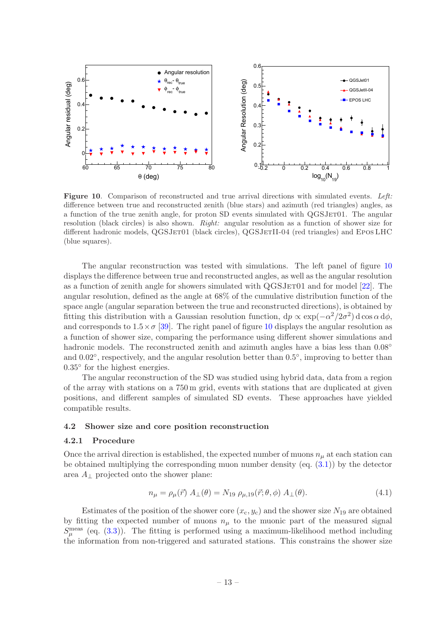![](_page_20_Figure_0.jpeg)

<span id="page-20-2"></span>Figure 10. Comparison of reconstructed and true arrival directions with simulated events. Left: difference between true and reconstructed zenith (blue stars) and azimuth (red triangles) angles, as a function of the true zenith angle, for proton SD events simulated with QGSJET01. The angular resolution (black circles) is also shown. Right: angular resolution as a function of shower size for different hadronic models, QGSJET01 (black circles), QGSJETII-04 (red triangles) and EPOSLHC (blue squares).

The angular reconstruction was tested with simulations. The left panel of figure [10](#page-20-2) displays the difference between true and reconstructed angles, as well as the angular resolution as a function of zenith angle for showers simulated with QGSJET01 and for model [\[22\]](#page-32-14). The angular resolution, defined as the angle at 68% of the cumulative distribution function of the space angle (angular separation between the true and reconstructed directions), is obtained by fitting this distribution with a Gaussian resolution function,  $dp \propto \exp(-\alpha^2/2\sigma^2) d \cos \alpha d\phi$ , and corresponds to  $1.5 \times \sigma$  [\[39](#page-33-13)]. The right panel of figure [10](#page-20-2) displays the angular resolution as a function of shower size, comparing the performance using different shower simulations and hadronic models. The reconstructed zenith and azimuth angles have a bias less than  $0.08°$ and 0.02°, respectively, and the angular resolution better than 0.5°, improving to better than 0.35° for the highest energies.

The angular reconstruction of the SD was studied using hybrid data, data from a region of the array with stations on a 750 m grid, events with stations that are duplicated at given positions, and different samples of simulated SD events. These approaches have yielded compatible results.

#### <span id="page-20-1"></span><span id="page-20-0"></span>4.2 Shower size and core position reconstruction

#### 4.2.1 Procedure

Once the arrival direction is established, the expected number of muons  $n_{\mu}$  at each station can be obtained multiplying the corresponding muon number density (eq. [\(3.1\)](#page-15-2)) by the detector area  $A_{\perp}$  projected onto the shower plane:

<span id="page-20-3"></span>
$$
n_{\mu} = \rho_{\mu}(\vec{r}) A_{\perp}(\theta) = N_{19} \rho_{\mu,19}(\vec{r}; \theta, \phi) A_{\perp}(\theta).
$$
 (4.1)

Estimates of the position of the shower core  $(x_c, y_c)$  and the shower size  $N_{19}$  are obtained by fitting the expected number of muons  $n<sub>\mu</sub>$  to the muonic part of the measured signal  $S_{\mu}^{\text{meas}}$  (eq. [\(3.3\)](#page-17-2)). The fitting is performed using a maximum-likelihood method including the information from non-triggered and saturated stations. This constrains the shower size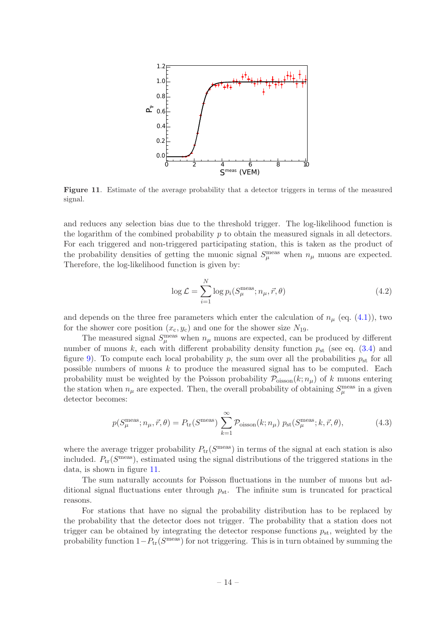![](_page_21_Figure_0.jpeg)

<span id="page-21-0"></span>Figure 11. Estimate of the average probability that a detector triggers in terms of the measured signal.

and reduces any selection bias due to the threshold trigger. The log-likelihood function is the logarithm of the combined probability  $p$  to obtain the measured signals in all detectors. For each triggered and non-triggered participating station, this is taken as the product of the probability densities of getting the muonic signal  $S_{\mu}^{\text{meas}}$  when  $n_{\mu}$  muons are expected. Therefore, the log-likelihood function is given by:

$$
\log \mathcal{L} = \sum_{i=1}^{N} \log p_i(S_{\mu}^{\text{meas}}; n_{\mu}, \vec{r}, \theta)
$$
\n(4.2)

and depends on the three free parameters which enter the calculation of  $n_{\mu}$  (eq. [\(4.1\)](#page-20-3)), two for the shower core position  $(x_c, y_c)$  and one for the shower size  $N_{19}$ .

The measured signal  $S_{\mu}^{\text{meas}}$  when  $n_{\mu}$  muons are expected, can be produced by different number of muons k, each with different probability density function  $p_{st}$  (see eq. [\(3.4\)](#page-18-2) and figure [9\)](#page-19-1). To compute each local probability p, the sum over all the probabilities  $p_{\rm st}$  for all possible numbers of muons k to produce the measured signal has to be computed. Each probability must be weighted by the Poisson probability  $\mathcal{P}_{\text{oisson}}(k; n_{\mu})$  of k muons entering the station when  $n_{\mu}$  are expected. Then, the overall probability of obtaining  $S_{\mu}^{\text{meas}}$  in a given detector becomes:

$$
p(S_{\mu}^{\text{meas}}; n_{\mu}, \vec{r}, \theta) = P_{\text{tr}}(S^{\text{meas}}) \sum_{k=1}^{\infty} \mathcal{P}_{\text{oisson}}(k; n_{\mu}) p_{\text{st}}(S_{\mu}^{\text{meas}}; k, \vec{r}, \theta), \tag{4.3}
$$

where the average trigger probability  $P_{tr}(S^{\text{meas}})$  in terms of the signal at each station is also included.  $P_{tr}(S^{\text{meas}})$ , estimated using the signal distributions of the triggered stations in the data, is shown in figure [11.](#page-21-0)

The sum naturally accounts for Poisson fluctuations in the number of muons but additional signal fluctuations enter through  $p_{\rm st}$ . The infinite sum is truncated for practical reasons.

For stations that have no signal the probability distribution has to be replaced by the probability that the detector does not trigger. The probability that a station does not trigger can be obtained by integrating the detector response functions  $p_{st}$ , weighted by the probability function  $1-P_{tr}(S^{\text{meas}})$  for not triggering. This is in turn obtained by summing the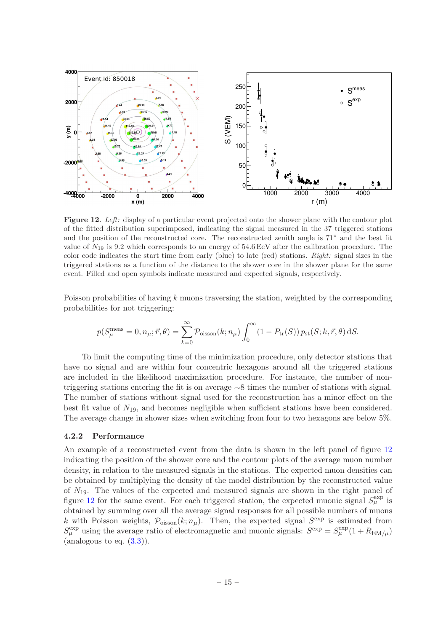![](_page_22_Figure_0.jpeg)

<span id="page-22-1"></span>Figure 12. Left: display of a particular event projected onto the shower plane with the contour plot of the fitted distribution superimposed, indicating the signal measured in the 37 triggered stations and the position of the reconstructed core. The reconstructed zenith angle is 71◦ and the best fit value of  $N_{19}$  is 9.2 which corresponds to an energy of 54.6 EeV after the calibration procedure. The color code indicates the start time from early (blue) to late (red) stations. Right: signal sizes in the triggered stations as a function of the distance to the shower core in the shower plane for the same event. Filled and open symbols indicate measured and expected signals, respectively.

Poisson probabilities of having  $k$  muons traversing the station, weighted by the corresponding probabilities for not triggering:

$$
p(S_{\mu}^{\text{meas}} = 0, n_{\mu}; \vec{r}, \theta) = \sum_{k=0}^{\infty} \mathcal{P}_{\text{oisson}}(k; n_{\mu}) \int_{0}^{\infty} (1 - P_{\text{tr}}(S)) p_{\text{st}}(S; k, \vec{r}, \theta) \, dS.
$$

To limit the computing time of the minimization procedure, only detector stations that have no signal and are within four concentric hexagons around all the triggered stations are included in the likelihood maximization procedure. For instance, the number of nontriggering stations entering the fit is on average ∼8 times the number of stations with signal. The number of stations without signal used for the reconstruction has a minor effect on the best fit value of  $N_{19}$ , and becomes negligible when sufficient stations have been considered. The average change in shower sizes when switching from four to two hexagons are below 5%.

#### <span id="page-22-0"></span>4.2.2 Performance

An example of a reconstructed event from the data is shown in the left panel of figure [12](#page-22-1) indicating the position of the shower core and the contour plots of the average muon number density, in relation to the measured signals in the stations. The expected muon densities can be obtained by multiplying the density of the model distribution by the reconstructed value of  $N_{19}$ . The values of the expected and measured signals are shown in the right panel of figure [12](#page-22-1) for the same event. For each triggered station, the expected muonic signal  $S_{\mu}^{\text{exp}}$  is obtained by summing over all the average signal responses for all possible numbers of muons k with Poisson weights,  $\mathcal{P}_{\text{oisson}}(k; n_\mu)$ . Then, the expected signal  $S^{\text{exp}}$  is estimated from  $S_{\mu}^{\text{exp}}$  using the average ratio of electromagnetic and muonic signals:  $S^{\text{exp}} = S_{\mu}^{\text{exp}}(1 + R_{\text{EM}/\mu})$ (analogous to eq.  $(3.3)$ ).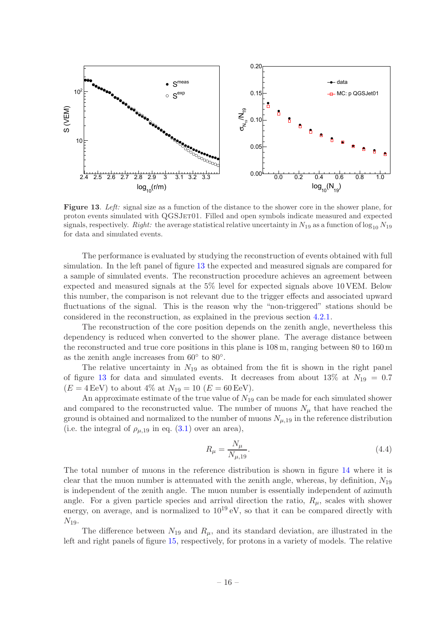![](_page_23_Figure_0.jpeg)

<span id="page-23-0"></span>Figure 13. Left: signal size as a function of the distance to the shower core in the shower plane, for proton events simulated with QGSJET01. Filled and open symbols indicate measured and expected signals, respectively. Right: the average statistical relative uncertainty in  $N_{19}$  as a function of  $\log_{10} N_{19}$ for data and simulated events.

The performance is evaluated by studying the reconstruction of events obtained with full simulation. In the left panel of figure [13](#page-23-0) the expected and measured signals are compared for a sample of simulated events. The reconstruction procedure achieves an agreement between expected and measured signals at the 5% level for expected signals above 10 VEM. Below this number, the comparison is not relevant due to the trigger effects and associated upward fluctuations of the signal. This is the reason why the "non-triggered" stations should be considered in the reconstruction, as explained in the previous section [4.2.1.](#page-20-1)

The reconstruction of the core position depends on the zenith angle, nevertheless this dependency is reduced when converted to the shower plane. The average distance between the reconstructed and true core positions in this plane is 108 m, ranging between 80 to 160 m as the zenith angle increases from  $60^{\circ}$  to  $80^{\circ}$ .

The relative uncertainty in  $N_{19}$  as obtained from the fit is shown in the right panel of figure [13](#page-23-0) for data and simulated events. It decreases from about 13% at  $N_{19} = 0.7$  $(E = 4 \,\text{EeV})$  to about 4% at  $N_{19} = 10 \,(E = 60 \,\text{EeV})$ .

An approximate estimate of the true value of  $N_{19}$  can be made for each simulated shower and compared to the reconstructed value. The number of muons  $N_{\mu}$  that have reached the ground is obtained and normalized to the number of muons  $N_{\mu,19}$  in the reference distribution (i.e. the integral of  $\rho_{\mu,19}$  in eq. [\(3.1\)](#page-15-2) over an area),

$$
R_{\mu} = \frac{N_{\mu}}{N_{\mu,19}}.\t(4.4)
$$

The total number of muons in the reference distribution is shown in figure [14](#page-24-0) where it is clear that the muon number is attenuated with the zenith angle, whereas, by definition,  $N_{19}$ is independent of the zenith angle. The muon number is essentially independent of azimuth angle. For a given particle species and arrival direction the ratio,  $R_{\mu}$ , scales with shower energy, on average, and is normalized to  $10^{19}$  eV, so that it can be compared directly with  $N_{19}$ .

The difference between  $N_{19}$  and  $R_{\mu}$ , and its standard deviation, are illustrated in the left and right panels of figure [15,](#page-25-1) respectively, for protons in a variety of models. The relative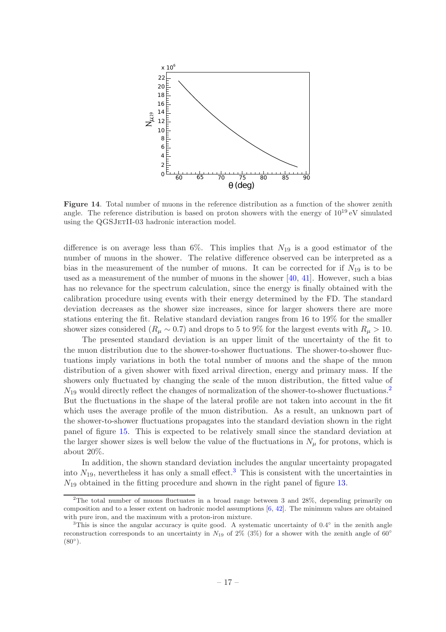![](_page_24_Figure_0.jpeg)

<span id="page-24-0"></span>Figure 14. Total number of muons in the reference distribution as a function of the shower zenith angle. The reference distribution is based on proton showers with the energy of  $10^{19}$  eV simulated using the QGSJETII-03 hadronic interaction model.

difference is on average less than 6%. This implies that  $N_{19}$  is a good estimator of the number of muons in the shower. The relative difference observed can be interpreted as a bias in the measurement of the number of muons. It can be corrected for if  $N_{19}$  is to be used as a measurement of the number of muons in the shower  $[40, 41]$  $[40, 41]$  $[40, 41]$ . However, such a bias has no relevance for the spectrum calculation, since the energy is finally obtained with the calibration procedure using events with their energy determined by the FD. The standard deviation decreases as the shower size increases, since for larger showers there are more stations entering the fit. Relative standard deviation ranges from 16 to 19% for the smaller shower sizes considered ( $R_{\mu} \sim 0.7$ ) and drops to 5 to 9% for the largest events with  $R_{\mu} > 10$ .

The presented standard deviation is an upper limit of the uncertainty of the fit to the muon distribution due to the shower-to-shower fluctuations. The shower-to-shower fluctuations imply variations in both the total number of muons and the shape of the muon distribution of a given shower with fixed arrival direction, energy and primary mass. If the showers only fluctuated by changing the scale of the muon distribution, the fitted value of  $N_{19}$  would directly reflect the changes of normalization of the shower-to-shower fluctuations.<sup>[2](#page-24-1)</sup> But the fluctuations in the shape of the lateral profile are not taken into account in the fit which uses the average profile of the muon distribution. As a result, an unknown part of the shower-to-shower fluctuations propagates into the standard deviation shown in the right panel of figure [15.](#page-25-1) This is expected to be relatively small since the standard deviation at the larger shower sizes is well below the value of the fluctuations in  $N_{\mu}$  for protons, which is about 20%.

In addition, the shown standard deviation includes the angular uncertainty propagated into  $N_{19}$ , nevertheless it has only a small effect.<sup>[3](#page-24-2)</sup> This is consistent with the uncertainties in  $N_{19}$  obtained in the fitting procedure and shown in the right panel of figure [13.](#page-23-0)

<span id="page-24-1"></span><sup>&</sup>lt;sup>2</sup>The total number of muons fluctuates in a broad range between 3 and 28%, depending primarily on composition and to a lesser extent on hadronic model assumptions [\[6](#page-32-16), [42\]](#page-33-16). The minimum values are obtained with pure iron, and the maximum with a proton-iron mixture.

<span id="page-24-2"></span><sup>&</sup>lt;sup>3</sup>This is since the angular accuracy is quite good. A systematic uncertainty of  $0.4^{\circ}$  in the zenith angle reconstruction corresponds to an uncertainty in  $N_{19}$  of 2% (3%) for a shower with the zenith angle of 60°  $(80^{\circ})$ .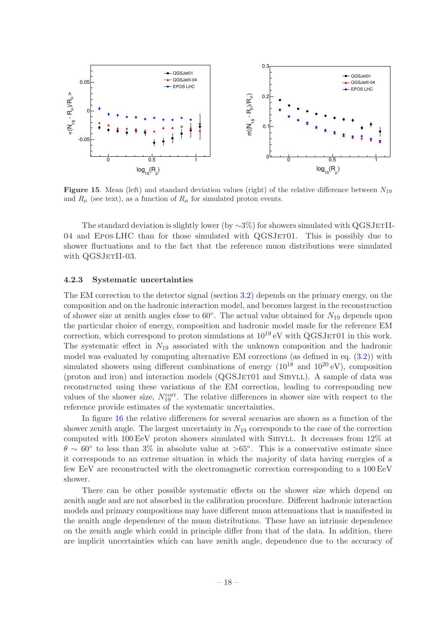![](_page_25_Figure_0.jpeg)

<span id="page-25-1"></span>**Figure 15.** Mean (left) and standard deviation values (right) of the relative difference between  $N_{19}$ and  $R_{\mu}$  (see text), as a function of  $R_{\mu}$  for simulated proton events.

The standard deviation is slightly lower (by  $\sim$ 3%) for showers simulated with QGSJETII-04 and EPOS LHC than for those simulated with QGSJET01. This is possibly due to shower fluctuations and to the fact that the reference muon distributions were simulated with QGSJETII-03.

#### <span id="page-25-0"></span>4.2.3 Systematic uncertainties

The EM correction to the detector signal (section [3.2\)](#page-15-0) depends on the primary energy, on the composition and on the hadronic interaction model, and becomes largest in the reconstruction of shower size at zenith angles close to  $60^{\circ}$ . The actual value obtained for  $N_{19}$  depends upon the particular choice of energy, composition and hadronic model made for the reference EM correction, which correspond to proton simulations at  $10^{19}$  eV with QGSJET01 in this work. The systematic effect in  $N_{19}$  associated with the unknown composition and the hadronic model was evaluated by computing alternative EM corrections (as defined in eq. [\(3.2\)](#page-16-1)) with simulated showers using different combinations of energy  $(10^{18} \text{ and } 10^{20} \text{ eV})$ , composition (proton and iron) and interaction models (QGSJET01 and SIBYLL). A sample of data was reconstructed using these variations of the EM correction, leading to corresponding new values of the shower size,  $N_{19}^{\text{corr}}$ . The relative differences in shower size with respect to the reference provide estimates of the systematic uncertainties.

In figure [16](#page-26-1) the relative differences for several scenarios are shown as a function of the shower zenith angle. The largest uncertainty in  $N_{19}$  corresponds to the case of the correction computed with 100 EeV proton showers simulated with SIBYLL. It decreases from 12% at  $\theta \sim 60^{\circ}$  to less than 3% in absolute value at >65°. This is a conservative estimate since it corresponds to an extreme situation in which the majority of data having energies of a few EeV are reconstructed with the electromagnetic correction corresponding to a 100 EeV shower.

There can be other possible systematic effects on the shower size which depend on zenith angle and are not absorbed in the calibration procedure. Different hadronic interaction models and primary compositions may have different muon attenuations that is manifested in the zenith angle dependence of the muon distributions. These have an intrinsic dependence on the zenith angle which could in principle differ from that of the data. In addition, there are implicit uncertainties which can have zenith angle, dependence due to the accuracy of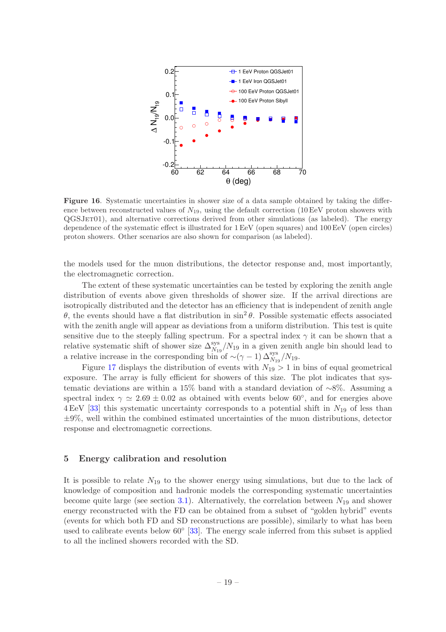![](_page_26_Figure_0.jpeg)

<span id="page-26-1"></span>Figure 16. Systematic uncertainties in shower size of a data sample obtained by taking the difference between reconstructed values of  $N_{19}$ , using the default correction (10 EeV proton showers with QGSJet01), and alternative corrections derived from other simulations (as labeled). The energy dependence of the systematic effect is illustrated for 1 EeV (open squares) and 100 EeV (open circles) proton showers. Other scenarios are also shown for comparison (as labeled).

the models used for the muon distributions, the detector response and, most importantly, the electromagnetic correction.

The extent of these systematic uncertainties can be tested by exploring the zenith angle distribution of events above given thresholds of shower size. If the arrival directions are isotropically distributed and the detector has an efficiency that is independent of zenith angle θ, the events should have a flat distribution in  $\sin^2 θ$ . Possible systematic effects associated with the zenith angle will appear as deviations from a uniform distribution. This test is quite sensitive due to the steeply falling spectrum. For a spectral index  $\gamma$  it can be shown that a relative systematic shift of shower size  $\Delta_{N_{19}}^{\rm sys}/N_{19}$  in a given zenith angle bin should lead to a relative increase in the corresponding bin of  $\sim$ ( $\gamma$  − 1)  $\Delta_{N_{19}}^{\rm sys}/N_{19}$ .

Figure [17](#page-27-0) displays the distribution of events with  $N_{19} > 1$  in bins of equal geometrical exposure. The array is fully efficient for showers of this size. The plot indicates that systematic deviations are within a 15% band with a standard deviation of ∼8%. Assuming a spectral index  $\gamma \simeq 2.69 \pm 0.02$  as obtained with events below 60<sup>°</sup>, and for energies above  $4 \,\text{EeV}$  [\[33](#page-33-7)] this systematic uncertainty corresponds to a potential shift in  $N_{19}$  of less than  $\pm 9\%$ , well within the combined estimated uncertainties of the muon distributions, detector response and electromagnetic corrections.

#### <span id="page-26-0"></span>5 Energy calibration and resolution

It is possible to relate  $N_{19}$  to the shower energy using simulations, but due to the lack of knowledge of composition and hadronic models the corresponding systematic uncertainties become quite large (see section [3.1\)](#page-13-1). Alternatively, the correlation between  $N_{19}$  and shower energy reconstructed with the FD can be obtained from a subset of "golden hybrid" events (events for which both FD and SD reconstructions are possible), similarly to what has been used to calibrate events below  $60^{\circ}$  [\[33](#page-33-7)]. The energy scale inferred from this subset is applied to all the inclined showers recorded with the SD.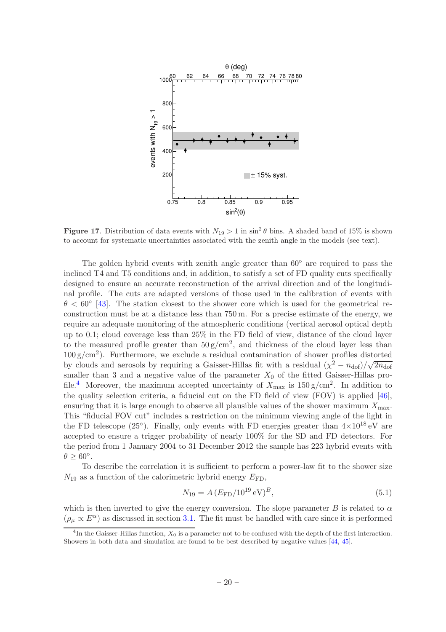![](_page_27_Figure_0.jpeg)

<span id="page-27-0"></span>Figure 17. Distribution of data events with  $N_{19} > 1$  in sin<sup>2</sup>  $\theta$  bins. A shaded band of 15% is shown to account for systematic uncertainties associated with the zenith angle in the models (see text).

The golden hybrid events with zenith angle greater than 60◦ are required to pass the inclined T4 and T5 conditions and, in addition, to satisfy a set of FD quality cuts specifically designed to ensure an accurate reconstruction of the arrival direction and of the longitudinal profile. The cuts are adapted versions of those used in the calibration of events with  $\theta < 60^{\circ}$  [\[43](#page-33-17)]. The station closest to the shower core which is used for the geometrical reconstruction must be at a distance less than  $750 \,\mathrm{m}$ . For a precise estimate of the energy, we require an adequate monitoring of the atmospheric conditions (vertical aerosol optical depth up to 0.1; cloud coverage less than 25% in the FD field of view, distance of the cloud layer to the measured profile greater than  $50 \text{ g/cm}^2$ , and thickness of the cloud layer less than  $100 \text{ g/cm}^2$ ). Furthermore, we exclude a residual contamination of shower profiles distorted by clouds and aerosols by requiring a Gaisser-Hillas fit with a residual  $(\chi^2 - n_{\text{dof}})/\sqrt{2n_{\text{dof}}}$ smaller than 3 and a negative value of the parameter  $X_0$  of the fitted Gaisser-Hillas pro-file.<sup>[4](#page-27-1)</sup> Moreover, the maximum accepted uncertainty of  $X_{\text{max}}$  is  $150 \text{ g/cm}^2$ . In addition to the quality selection criteria, a fiducial cut on the FD field of view (FOV) is applied [\[46](#page-34-0)], ensuring that it is large enough to observe all plausible values of the shower maximum  $X_{\text{max}}$ . This "fiducial FOV cut" includes a restriction on the minimum viewing angle of the light in the FD telescope (25<sup>°</sup>). Finally, only events with FD energies greater than  $4 \times 10^{18}$  eV are accepted to ensure a trigger probability of nearly 100% for the SD and FD detectors. For the period from 1 January 2004 to 31 December 2012 the sample has 223 hybrid events with  $\theta \geq 60^{\circ}.$ 

To describe the correlation it is sufficient to perform a power-law fit to the shower size  $N_{19}$  as a function of the calorimetric hybrid energy  $E_{FD}$ ,

<span id="page-27-2"></span>
$$
N_{19} = A \left( E_{\rm FD} / 10^{19} \, \text{eV} \right)^B,\tag{5.1}
$$

which is then inverted to give the energy conversion. The slope parameter B is related to  $\alpha$  $(\rho_{\mu} \propto E^{\alpha})$  as discussed in section [3.1.](#page-13-1) The fit must be handled with care since it is performed

<span id="page-27-1"></span><sup>&</sup>lt;sup>4</sup>In the Gaisser-Hillas function,  $X_0$  is a parameter not to be confused with the depth of the first interaction. Showers in both data and simulation are found to be best described by negative values [\[44](#page-34-1), [45](#page-34-2)].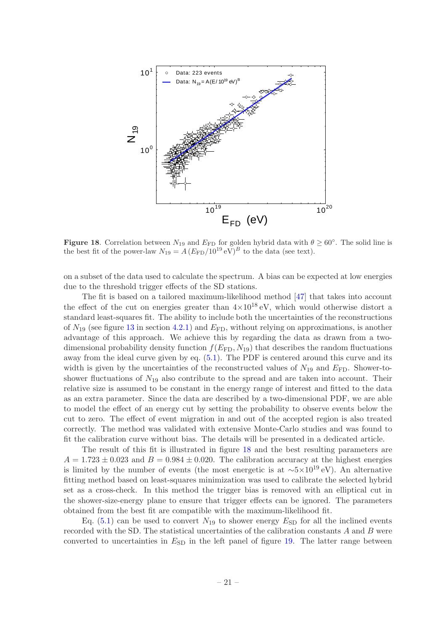![](_page_28_Figure_0.jpeg)

<span id="page-28-0"></span>**Figure 18.** Correlation between  $N_{19}$  and  $E_{FD}$  for golden hybrid data with  $\theta \ge 60^{\circ}$ . The solid line is the best fit of the power-law  $N_{19} = A (E_{FD}/10^{19} \text{ eV})^B$  to the data (see text).

on a subset of the data used to calculate the spectrum. A bias can be expected at low energies due to the threshold trigger effects of the SD stations.

The fit is based on a tailored maximum-likelihood method [\[47](#page-34-3)] that takes into account the effect of the cut on energies greater than  $4\times10^{18}$  eV, which would otherwise distort a standard least-squares fit. The ability to include both the uncertainties of the reconstructions of  $N_{19}$  (see figure [13](#page-23-0) in section [4.2.1\)](#page-20-1) and  $E_{\text{FD}}$ , without relying on approximations, is another advantage of this approach. We achieve this by regarding the data as drawn from a twodimensional probability density function  $f(E_{FD}, N_{19})$  that describes the random fluctuations away from the ideal curve given by eq. [\(5.1\)](#page-27-2). The PDF is centered around this curve and its width is given by the uncertainties of the reconstructed values of  $N_{19}$  and  $E_{\text{FD}}$ . Shower-toshower fluctuations of  $N_{19}$  also contribute to the spread and are taken into account. Their relative size is assumed to be constant in the energy range of interest and fitted to the data as an extra parameter. Since the data are described by a two-dimensional PDF, we are able to model the effect of an energy cut by setting the probability to observe events below the cut to zero. The effect of event migration in and out of the accepted region is also treated correctly. The method was validated with extensive Monte-Carlo studies and was found to fit the calibration curve without bias. The details will be presented in a dedicated article.

The result of this fit is illustrated in figure [18](#page-28-0) and the best resulting parameters are  $A = 1.723 \pm 0.023$  and  $B = 0.984 \pm 0.020$ . The calibration accuracy at the highest energies is limited by the number of events (the most energetic is at  $\sim$ 5×10<sup>19</sup> eV). An alternative fitting method based on least-squares minimization was used to calibrate the selected hybrid set as a cross-check. In this method the trigger bias is removed with an elliptical cut in the shower-size-energy plane to ensure that trigger effects can be ignored. The parameters obtained from the best fit are compatible with the maximum-likelihood fit.

Eq.  $(5.1)$  can be used to convert  $N_{19}$  to shower energy  $E_{SD}$  for all the inclined events recorded with the SD. The statistical uncertainties of the calibration constants  $A$  and  $B$  were converted to uncertainties in  $E_{SD}$  in the left panel of figure [19.](#page-29-0) The latter range between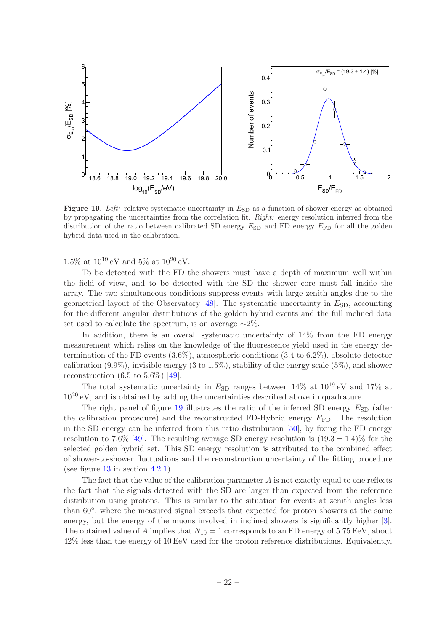![](_page_29_Figure_0.jpeg)

<span id="page-29-0"></span>Figure 19. Left: relative systematic uncertainty in  $E_{SD}$  as a function of shower energy as obtained by propagating the uncertainties from the correlation fit. Right: energy resolution inferred from the distribution of the ratio between calibrated SD energy  $E_{SD}$  and FD energy  $E_{FD}$  for all the golden hybrid data used in the calibration.

1.5% at  $10^{19}$  eV and 5% at  $10^{20}$  eV.

To be detected with the FD the showers must have a depth of maximum well within the field of view, and to be detected with the SD the shower core must fall inside the array. The two simultaneous conditions suppress events with large zenith angles due to the geometrical layout of the Observatory  $[48]$ . The systematic uncertainty in  $E_{SD}$ , accounting for the different angular distributions of the golden hybrid events and the full inclined data set used to calculate the spectrum, is on average  $~\sim 2\%$ .

In addition, there is an overall systematic uncertainty of 14% from the FD energy measurement which relies on the knowledge of the fluorescence yield used in the energy determination of the FD events (3.6%), atmospheric conditions (3.4 to 6.2%), absolute detector calibration  $(9.9\%)$ , invisible energy  $(3 \text{ to } 1.5\%)$ , stability of the energy scale  $(5\%)$ , and shower reconstruction  $(6.5 \text{ to } 5.6\%)$  [\[49](#page-34-5)].

The total systematic uncertainty in  $E_{SD}$  ranges between 14% at  $10^{19}$  eV and 17% at  $10^{20}$  eV, and is obtained by adding the uncertainties described above in quadrature.

The right panel of figure  $19$  illustrates the ratio of the inferred SD energy  $E_{SD}$  (after the calibration procedure) and the reconstructed FD-Hybrid energy  $E_{FD}$ . The resolution in the SD energy can be inferred from this ratio distribution [\[50\]](#page-34-6), by fixing the FD energy resolution to 7.6% [\[49\]](#page-34-5). The resulting average SD energy resolution is  $(19.3 \pm 1.4)\%$  for the selected golden hybrid set. This SD energy resolution is attributed to the combined effect of shower-to-shower fluctuations and the reconstruction uncertainty of the fitting procedure (see figure  $13$  in section  $4.2.1$ ).

The fact that the value of the calibration parameter  $A$  is not exactly equal to one reflects the fact that the signals detected with the SD are larger than expected from the reference distribution using protons. This is similar to the situation for events at zenith angles less than 60°, where the measured signal exceeds that expected for proton showers at the same energy, but the energy of the muons involved in inclined showers is significantly higher [\[3](#page-31-2)]. The obtained value of A implies that  $N_{19} = 1$  corresponds to an FD energy of 5.75 EeV, about 42% less than the energy of 10 EeV used for the proton reference distributions. Equivalently,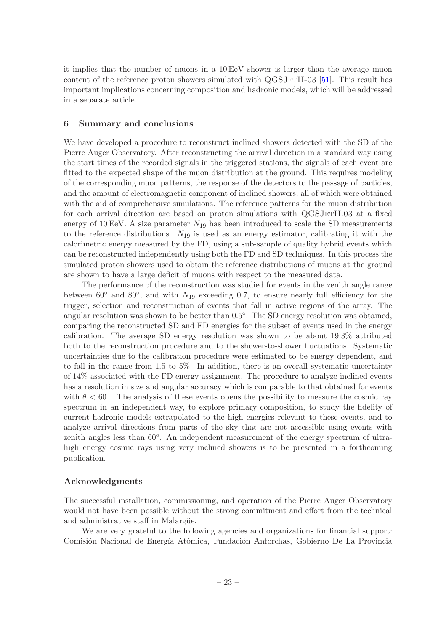it implies that the number of muons in a 10 EeV shower is larger than the average muon content of the reference proton showers simulated with  $QGSJETII-03$  [\[51\]](#page-34-7). This result has important implications concerning composition and hadronic models, which will be addressed in a separate article.

#### <span id="page-30-0"></span>6 Summary and conclusions

We have developed a procedure to reconstruct inclined showers detected with the SD of the Pierre Auger Observatory. After reconstructing the arrival direction in a standard way using the start times of the recorded signals in the triggered stations, the signals of each event are fitted to the expected shape of the muon distribution at the ground. This requires modeling of the corresponding muon patterns, the response of the detectors to the passage of particles, and the amount of electromagnetic component of inclined showers, all of which were obtained with the aid of comprehensive simulations. The reference patterns for the muon distribution for each arrival direction are based on proton simulations with QGSJETII.03 at a fixed energy of 10 EeV. A size parameter  $N_{19}$  has been introduced to scale the SD measurements to the reference distributions.  $N_{19}$  is used as an energy estimator, calibrating it with the calorimetric energy measured by the FD, using a sub-sample of quality hybrid events which can be reconstructed independently using both the FD and SD techniques. In this process the simulated proton showers used to obtain the reference distributions of muons at the ground are shown to have a large deficit of muons with respect to the measured data.

The performance of the reconstruction was studied for events in the zenith angle range between  $60°$  and  $80°$ , and with  $N_{19}$  exceeding 0.7, to ensure nearly full efficiency for the trigger, selection and reconstruction of events that fall in active regions of the array. The angular resolution was shown to be better than  $0.5^{\circ}$ . The SD energy resolution was obtained, comparing the reconstructed SD and FD energies for the subset of events used in the energy calibration. The average SD energy resolution was shown to be about 19.3% attributed both to the reconstruction procedure and to the shower-to-shower fluctuations. Systematic uncertainties due to the calibration procedure were estimated to be energy dependent, and to fall in the range from 1.5 to 5%. In addition, there is an overall systematic uncertainty of 14% associated with the FD energy assignment. The procedure to analyze inclined events has a resolution in size and angular accuracy which is comparable to that obtained for events with  $\theta < 60^{\circ}$ . The analysis of these events opens the possibility to measure the cosmic ray spectrum in an independent way, to explore primary composition, to study the fidelity of current hadronic models extrapolated to the high energies relevant to these events, and to analyze arrival directions from parts of the sky that are not accessible using events with zenith angles less than 60°. An independent measurement of the energy spectrum of ultrahigh energy cosmic rays using very inclined showers is to be presented in a forthcoming publication.

## Acknowledgments

The successful installation, commissioning, and operation of the Pierre Auger Observatory would not have been possible without the strong commitment and effort from the technical and administrative staff in Malargüe.

We are very grateful to the following agencies and organizations for financial support: Comisión Nacional de Energía Atómica, Fundación Antorchas, Gobierno De La Provincia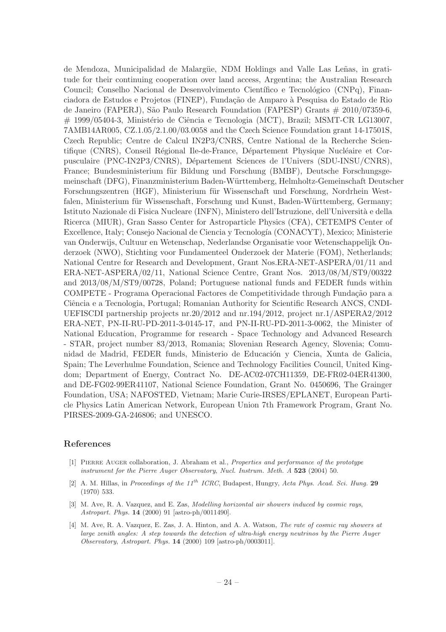de Mendoza, Municipalidad de Malargüe, NDM Holdings and Valle Las Leñas, in gratitude for their continuing cooperation over land access, Argentina; the Australian Research Council; Conselho Nacional de Desenvolvimento Científico e Tecnológico (CNPq), Financiadora de Estudos e Projetos (FINEP), Fundação de Amparo à Pesquisa do Estado de Rio de Janeiro (FAPERJ), São Paulo Research Foundation (FAPESP) Grants # 2010/07359-6, # 1999/05404-3, Ministério de Ciência e Tecnologia (MCT), Brazil; MSMT-CR LG13007, 7AMB14AR005, CZ.1.05/2.1.00/03.0058 and the Czech Science Foundation grant 14-17501S, Czech Republic; Centre de Calcul IN2P3/CNRS, Centre National de la Recherche Scientifique (CNRS), Conseil Régional Ile-de-France, Département Physique Nucléaire et Corpusculaire (PNC-IN2P3/CNRS), D´epartement Sciences de l'Univers (SDU-INSU/CNRS), France; Bundesministerium für Bildung und Forschung (BMBF), Deutsche Forschungsgemeinschaft (DFG), Finanzministerium Baden-W¨urttemberg, Helmholtz-Gemeinschaft Deutscher Forschungszentren (HGF), Ministerium für Wissenschaft und Forschung, Nordrhein Westfalen, Ministerium für Wissenschaft, Forschung und Kunst, Baden-Württemberg, Germany; Istituto Nazionale di Fisica Nucleare (INFN), Ministero dell'Istruzione, dell'Università e della Ricerca (MIUR), Gran Sasso Center for Astroparticle Physics (CFA), CETEMPS Center of Excellence, Italy; Consejo Nacional de Ciencia y Tecnología (CONACYT), Mexico; Ministerie van Onderwijs, Cultuur en Wetenschap, Nederlandse Organisatie voor Wetenschappelijk Onderzoek (NWO), Stichting voor Fundamenteel Onderzoek der Materie (FOM), Netherlands; National Centre for Research and Development, Grant Nos.ERA-NET-ASPERA/01/11 and ERA-NET-ASPERA/02/11, National Science Centre, Grant Nos. 2013/08/M/ST9/00322 and 2013/08/M/ST9/00728, Poland; Portuguese national funds and FEDER funds within COMPETE - Programa Operacional Factores de Competitividade through Fundação para a Ciência e a Tecnologia, Portugal; Romanian Authority for Scientific Research ANCS, CNDI-UEFISCDI partnership projects nr.20/2012 and nr.194/2012, project nr.1/ASPERA2/2012 ERA-NET, PN-II-RU-PD-2011-3-0145-17, and PN-II-RU-PD-2011-3-0062, the Minister of National Education, Programme for research - Space Technology and Advanced Research - STAR, project number 83/2013, Romania; Slovenian Research Agency, Slovenia; Comunidad de Madrid, FEDER funds, Ministerio de Educación y Ciencia, Xunta de Galicia, Spain; The Leverhulme Foundation, Science and Technology Facilities Council, United Kingdom; Department of Energy, Contract No. DE-AC02-07CH11359, DE-FR02-04ER41300, and DE-FG02-99ER41107, National Science Foundation, Grant No. 0450696, The Grainger Foundation, USA; NAFOSTED, Vietnam; Marie Curie-IRSES/EPLANET, European Particle Physics Latin American Network, European Union 7th Framework Program, Grant No. PIRSES-2009-GA-246806; and UNESCO.

## References

- <span id="page-31-0"></span>[1] Pierre Auger collaboration, J. Abraham et al., Properties and performance of the prototype instrument for the Pierre Auger Observatory, Nucl. Instrum. Meth. A 523 (2004) 50.
- <span id="page-31-1"></span>[2] A. M. Hillas, in Proceedings of the  $11^{th}$  ICRC, Budapest, Hungry, Acta Phys. Acad. Sci. Hung. 29 (1970) 533.
- <span id="page-31-2"></span>[3] M. Ave, R. A. Vazquez, and E. Zas, Modelling horizontal air showers induced by cosmic rays, Astropart. Phys. 14 (2000) 91 [astro-ph/0011490].
- <span id="page-31-3"></span>[4] M. Ave, R. A. Vazquez, E. Zas, J. A. Hinton, and A. A. Watson, The rate of cosmic ray showers at large zenith angles: A step towards the detection of ultra-high energy neutrinos by the Pierre Auger Observatory, Astropart. Phys. 14 (2000) 109 [astro-ph/0003011].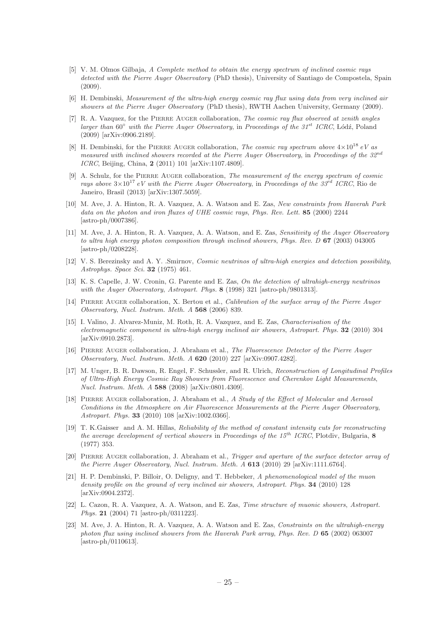- <span id="page-32-0"></span>[5] V. M. Olmos Gilbaja, A Complete method to obtain the energy spectrum of inclined cosmic rays detected with the Pierre Auger Observatory (PhD thesis), University of Santiago de Compostela, Spain (2009).
- <span id="page-32-16"></span>[6] H. Dembinski, Measurement of the ultra-high energy cosmic ray flux using data from very inclined air showers at the Pierre Auger Observatory (PhD thesis), RWTH Aachen University, Germany (2009).
- [7] R. A. Vazquez, for the PIERRE AUGER collaboration, The cosmic ray flux observed at zenith angles larger than  $60^{\circ}$  with the Pierre Auger Observatory, in Proceedings of the  $31^{st}$  ICRC, Lódź, Poland (2009) [arXiv:0906.2189].
- [8] H. Dembinski, for the PIERRE AUGER collaboration, *The cosmic ray spectrum above*  $4\times10^{18}$  eV as measured with inclined showers recorded at the Pierre Auger Observatory, in Proceedings of the 32<sup>nd</sup> ICRC, Beijing, China, 2 (2011) 101 [arXiv:1107.4809].
- <span id="page-32-1"></span>[9] A. Schulz, for the PIERRE AUGER collaboration, The measurement of the energy spectrum of cosmic rays above  $3\times10^{17}$  eV with the Pierre Auger Observatory, in Proceedings of the  $33^{rd}$  ICRC, Rio de Janeiro, Brasil (2013) [arXiv:1307.5059].
- <span id="page-32-2"></span>[10] M. Ave, J. A. Hinton, R. A. Vazquez, A. A. Watson and E. Zas, New constraints from Haverah Park data on the photon and iron fluxes of UHE cosmic rays, Phys. Rev. Lett. 85 (2000) 2244 [astro-ph/0007386].
- <span id="page-32-3"></span>[11] M. Ave, J. A. Hinton, R. A. Vazquez, A. A. Watson, and E. Zas, Sensitivity of the Auger Observatory to ultra high energy photon composition through inclined showers, Phys. Rev. D 67 (2003) 043005 [astro-ph/0208228].
- <span id="page-32-4"></span>[12] V. S. Berezinsky and A. Y. .Smirnov, Cosmic neutrinos of ultra-high energies and detection possibility, Astrophys. Space Sci. 32 (1975) 461.
- <span id="page-32-5"></span>[13] K. S. Capelle, J. W. Cronin, G. Parente and E. Zas, On the detection of ultrahigh-energy neutrinos with the Auger Observatory, Astropart. Phys. 8 (1998) 321 [astro-ph/9801313].
- <span id="page-32-6"></span>[14] PIERRE AUGER collaboration, X. Bertou et al., Calibration of the surface array of the Pierre Auger Observatory, Nucl. Instrum. Meth. A 568 (2006) 839.
- <span id="page-32-7"></span>[15] I. Valino, J. Alvarez-Muniz, M. Roth, R. A. Vazquez, and E. Zas, Characterisation of the electromagnetic component in ultra-high energy inclined air showers, Astropart. Phys. 32 (2010) 304 [arXiv:0910.2873].
- <span id="page-32-8"></span>[16] Pierre Auger collaboration, J. Abraham et al., The Fluorescence Detector of the Pierre Auger Observatory, Nucl. Instrum. Meth. A 620 (2010) 227 [arXiv:0907.4282].
- <span id="page-32-9"></span>[17] M. Unger, B. R. Dawson, R. Engel, F. Schussler, and R. Ulrich, Reconstruction of Longitudinal Profiles of Ultra-High Energy Cosmic Ray Showers from Fluorescence and Cherenkov Light Measurements, Nucl. Instrum. Meth. A 588 (2008) [arXiv:0801.4309].
- <span id="page-32-10"></span>[18] PIERRE AUGER collaboration, J. Abraham et al., A Study of the Effect of Molecular and Aerosol Conditions in the Atmosphere on Air Fluorescence Measurements at the Pierre Auger Observatory, Astropart. Phys. 33 (2010) 108 [arXiv:1002.0366].
- <span id="page-32-11"></span>[19] T. K.Gaisser and A. M. Hillas, Reliability of the method of constant intensity cuts for reconstructing the average development of vertical showers in Proceedings of the  $15^{th}$  ICRC, Plotdiv, Bulgaria, 8 (1977) 353.
- <span id="page-32-12"></span>[20] PIERRE AUGER collaboration, J. Abraham et al., Trigger and aperture of the surface detector array of the Pierre Auger Observatory, Nucl. Instrum. Meth. A **613** (2010) 29 [arXiv:1111.6764].
- <span id="page-32-13"></span>[21] H. P. Dembinski, P. Billoir, O. Deligny, and T. Hebbeker, A phenomenological model of the muon density profile on the ground of very inclined air showers, Astropart. Phys. 34 (2010) 128 [arXiv:0904.2372].
- <span id="page-32-14"></span>[22] L. Cazon, R. A. Vazquez, A. A. Watson, and E. Zas, Time structure of muonic showers, Astropart. Phys. 21 (2004) 71 [astro-ph/0311223].
- <span id="page-32-15"></span>[23] M. Ave, J. A. Hinton, R. A. Vazquez, A. A. Watson and E. Zas, Constraints on the ultrahigh-energy photon flux using inclined showers from the Haverah Park array, Phys. Rev.  $D$  65 (2002) 063007 [astro-ph/0110613].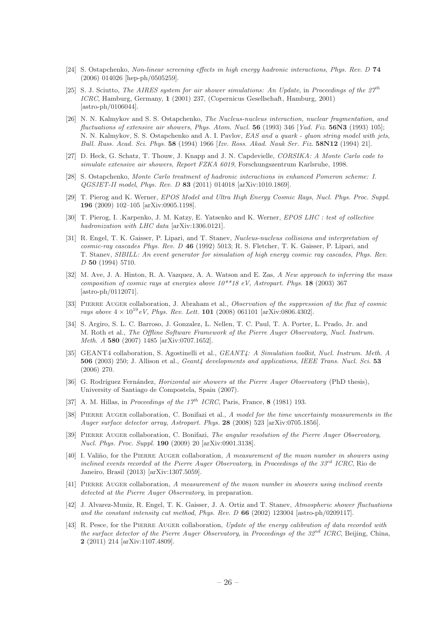- <span id="page-33-0"></span>[24] S. Ostapchenko, Non-linear screening effects in high energy hadronic interactions, Phys. Rev. D 74 (2006) 014026 [hep-ph/0505259].
- <span id="page-33-4"></span>[25] S. J. Sciutto, The AIRES system for air shower simulations: An Update, in Proceedings of the  $27^{th}$ ICRC, Hamburg, Germany, 1 (2001) 237, (Copernicus Gesellschaft, Hamburg, 2001) [astro-ph/0106044].
- <span id="page-33-1"></span>[26] N. N. Kalmykov and S. S. Ostapchenko, The Nucleus-nucleus interaction, nuclear fragmentation, and fluctuations of extensive air showers, Phys. Atom. Nucl. 56 (1993) 346 [Yad. Fiz. 56N3 (1993) 105]; N. N. Kalmykov, S. S. Ostapchenko and A. I. Pavlov, EAS and a quark - gluon string model with jets, Bull. Russ. Acad. Sci. Phys. 58 (1994) 1966 [Izv. Ross. Akad. Nauk Ser. Fiz. 58N12 (1994) 21].
- <span id="page-33-5"></span>[27] D. Heck, G. Schatz, T. Thouw, J. Knapp and J. N. Capdevielle, CORSIKA: A Monte Carlo code to simulate extensive air showers, Report FZKA 6019, Forschungszentrum Karlsruhe, 1998.
- <span id="page-33-2"></span>[28] S. Ostapchenko, Monte Carlo treatment of hadronic interactions in enhanced Pomeron scheme: I. QGSJET-II model, Phys. Rev. D 83 (2011) 014018 [arXiv:1010.1869].
- [29] T. Pierog and K. Werner, EPOS Model and Ultra High Energy Cosmic Rays, Nucl. Phys. Proc. Suppl. 196 (2009) 102–105 [arXiv:0905.1198].
- [30] T. Pierog, I. .Karpenko, J. M. Katzy, E. Yatsenko and K. Werner, EPOS LHC : test of collective hadronization with LHC data [arXiv:1306.0121].
- <span id="page-33-3"></span>[31] R. Engel, T. K. Gaisser, P. Lipari, and T. Stanev, Nucleus-nucleus collisions and interpretation of cosmic-ray cascades Phys. Rev. D 46 (1992) 5013; R. S. Fletcher, T. K. Gaisser, P. Lipari, and T. Stanev, SIBILL: An event generator for simulation of high energy cosmic ray cascades, Phys. Rev. D 50 (1994) 5710.
- <span id="page-33-6"></span>[32] M. Ave, J. A. Hinton, R. A. Vazquez, A. A. Watson and E. Zas, A New approach to inferring the mass composition of cosmic rays at energies above  $10^{**}18$  eV, Astropart. Phys. 18 (2003) 367 [astro-ph/0112071].
- <span id="page-33-7"></span>[33] PIERRE AUGER collaboration, J. Abraham et al., Observation of the suppression of the flux of cosmic rays above  $4 \times 10^{19}$  eV, Phys. Rev. Lett. **101** (2008) 061101 [arXiv:0806.4302].
- <span id="page-33-8"></span>[34] S. Argiro, S. L. C. Barroso, J. Gonzalez, L. Nellen, T. C. Paul, T. A. Porter, L. Prado, Jr. and M. Roth et al., The Offline Software Framework of the Pierre Auger Observatory, Nucl. Instrum. Meth. A 580 (2007) 1485 [arXiv:0707.1652].
- <span id="page-33-9"></span>[35] GEANT4 collaboration, S. Agostinelli et al., GEANT4: A Simulation toolkit, Nucl. Instrum. Meth. A 506 (2003) 250; J. Allison et al., *Geant4 developments and applications, IEEE Trans. Nucl. Sci.* 53 (2006) 270.
- <span id="page-33-10"></span>[36] G. Rodríguez Fernández, *Horizontal air showers at the Pierre Auger Observatory* (PhD thesis), University of Santiago de Compostela, Spain (2007).
- <span id="page-33-11"></span>[37] A. M. Hillas, in Proceedings of the  $17^{th}$  ICRC, Paris, France, 8 (1981) 193.
- <span id="page-33-12"></span>[38] PIERRE AUGER collaboration, C. Bonifazi et al., A model for the time uncertainty measurements in the Auger surface detector array, Astropart. Phys. 28 (2008) 523 [arXiv:0705.1856].
- <span id="page-33-13"></span>[39] Pierre Auger collaboration, C. Bonifazi, The angular resolution of the Pierre Auger Observatory, Nucl. Phys. Proc. Suppl. 190 (2009) 20 [arXiv:0901.3138].
- <span id="page-33-14"></span>[40] I. Valiño, for the PIERRE AUGER collaboration, A measurement of the muon number in showers using inclined events recorded at the Pierre Auger Observatory, in Proceedings of the  $33^{rd}$  ICRC, Rio de Janeiro, Brasil (2013) [arXiv:1307.5059].
- <span id="page-33-15"></span>[41] PIERRE AUGER collaboration, A measurement of the muon number in showers using inclined events detected at the Pierre Auger Observatory, in preparation.
- <span id="page-33-16"></span>[42] J. Alvarez-Muniz, R. Engel, T. K. Gaisser, J. A. Ortiz and T. Stanev, Atmospheric shower fluctuations and the constant intensity cut method, Phys. Rev. D 66 (2002) 123004 [astro-ph/0209117].
- <span id="page-33-17"></span>[43] R. Pesce, for the PIERRE AUGER collaboration, Update of the energy calibration of data recorded with the surface detector of the Pierre Auger Observatory, in Proceedings of the 32<sup>nd</sup> ICRC, Beijing, China, 2 (2011) 214 [arXiv:1107.4809].